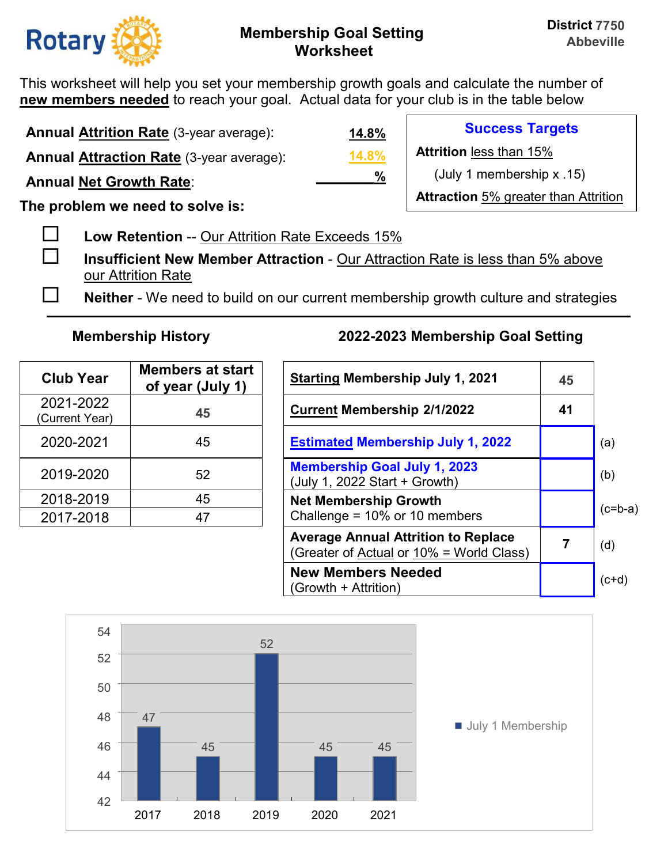

This worksheet will help you set your membership growth goals and calculate the number of **new members needed** to reach your goal. Actual data for your club is in the table below

| <b>Annual Attrition Rate (3-year average):</b>  | 14.8% | <b>Success Targets</b>                      |
|-------------------------------------------------|-------|---------------------------------------------|
| <b>Annual Attraction Rate (3-year average):</b> | 14.8% | <b>Attrition less than 15%</b>              |
| <b>Annual Net Growth Rate:</b>                  | $\%$  | (July 1 membership $x$ .15)                 |
|                                                 |       | <b>Attraction</b> 5% greater than Attrition |

**The problem we need to solve is:** 

- **Low Retention** -- Our Attrition Rate Exceeds 15%
- **Insufficient New Member Attraction** Our Attraction Rate is less than 5% above our Attrition Rate
- **Neither** We need to build on our current membership growth culture and strategies

| <b>Club Year</b>            | <b>Members at start</b><br>of year (July 1) | <b>Starting Membership July 1, 20</b>                                |
|-----------------------------|---------------------------------------------|----------------------------------------------------------------------|
| 2021-2022<br>(Current Year) | 45                                          | <b>Current Membership 2/1/2022</b>                                   |
| 2020-2021                   | 45                                          | <b>Estimated Membership July 1,</b>                                  |
| 2019-2020                   | 52                                          | <b>Membership Goal July 1, 2023</b><br>(July 1, 2022 Start + Growth) |
| 2018-2019                   | 45                                          | <b>Net Membership Growth</b>                                         |
| 2017-2018                   | 47                                          | Challenge = 10% or 10 members                                        |

| <b>Club Year</b>           | <b>Members at start</b><br>of year (July 1) | <b>Starting Membership July 1, 2021</b>                                                | 45 |           |
|----------------------------|---------------------------------------------|----------------------------------------------------------------------------------------|----|-----------|
| 2021-2022<br>Current Year) | 45                                          | <b>Current Membership 2/1/2022</b>                                                     | 41 |           |
| 2020-2021                  | 45                                          | <b>Estimated Membership July 1, 2022</b>                                               |    | (a)       |
| 2019-2020                  | 52                                          | <b>Membership Goal July 1, 2023</b><br>(July 1, 2022 Start + Growth)                   |    | (b)       |
| 2018-2019                  | 45                                          | <b>Net Membership Growth</b>                                                           |    | $(c=b-a)$ |
| 2017-2018                  | 47                                          | Challenge = $10\%$ or 10 members                                                       |    |           |
|                            |                                             | <b>Average Annual Attrition to Replace</b><br>(Greater of Actual or 10% = World Class) |    | (d)       |
|                            |                                             | <b>New Members Needed</b><br>(Growth + Attrition)                                      |    | $(c+d)$   |

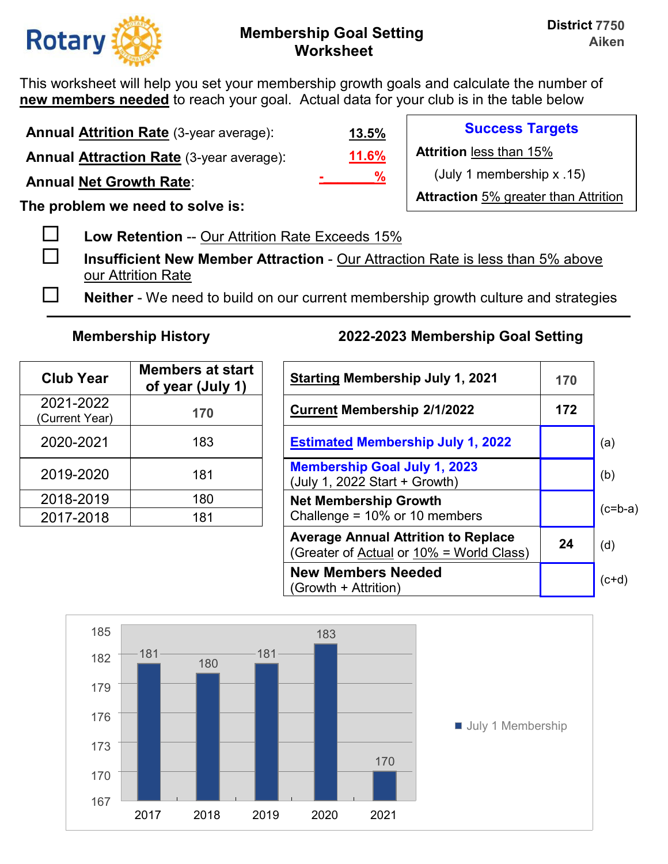

**Success Targets** 

(July 1 membership x .15)

**Attraction** 5% greater than Attrition

**Attrition** less than 15%

This worksheet will help you set your membership growth goals and calculate the number of **new members needed** to reach your goal. Actual data for your club is in the table below

**Annual Attrition Rate** (3-year average): **Annual Attraction Rate** (3-year average):

**Annual Net Growth Rate**:

**The problem we need to solve is:** 

**Low Retention** -- Our Attrition Rate Exceeds 15%

 **Insufficient New Member Attraction** - Our Attraction Rate is less than 5% above our Attrition Rate

**Neither** - We need to build on our current membership growth culture and strategies

**11.6%**

**-\_\_\_\_\_\_\_%**

**13.5%**

| <b>Club Year</b>            | <b>Members at start</b><br>of year (July 1) | <b>Starting Membership July 1, 2</b>                                 |
|-----------------------------|---------------------------------------------|----------------------------------------------------------------------|
| 2021-2022<br>(Current Year) | 170                                         | <b>Current Membership 2/1/2022</b>                                   |
| 2020-2021                   | 183                                         | <b>Estimated Membership July 1,</b>                                  |
| 2019-2020                   | 181                                         | <b>Membership Goal July 1, 2023</b><br>(July 1, 2022 Start + Growth) |
| 2018-2019                   | 180                                         | <b>Net Membership Growth</b>                                         |
| 2017-2018                   | 181                                         | Challenge = 10% or 10 members                                        |

| <b>Club Year</b>           | <b>Members at start</b><br>of year (July 1) | <b>Starting Membership July 1, 2021</b>                                                | 170 |           |
|----------------------------|---------------------------------------------|----------------------------------------------------------------------------------------|-----|-----------|
| 2021-2022<br>Current Year) | 170                                         | <b>Current Membership 2/1/2022</b>                                                     | 172 |           |
| 2020-2021                  | 183                                         | <b>Estimated Membership July 1, 2022</b>                                               |     | (a)       |
| 2019-2020                  | 181                                         | <b>Membership Goal July 1, 2023</b><br>(July 1, 2022 Start + Growth)                   |     | (b)       |
| 2018-2019                  | 180                                         | <b>Net Membership Growth</b>                                                           |     |           |
| 2017-2018                  | 181                                         | Challenge = $10\%$ or 10 members                                                       |     | $(c=b-a)$ |
|                            |                                             | <b>Average Annual Attrition to Replace</b><br>(Greater of Actual or 10% = World Class) | 24  | (d)       |
|                            |                                             | <b>New Members Needed</b><br>(Growth + Attrition)                                      |     | $(c+d)$   |

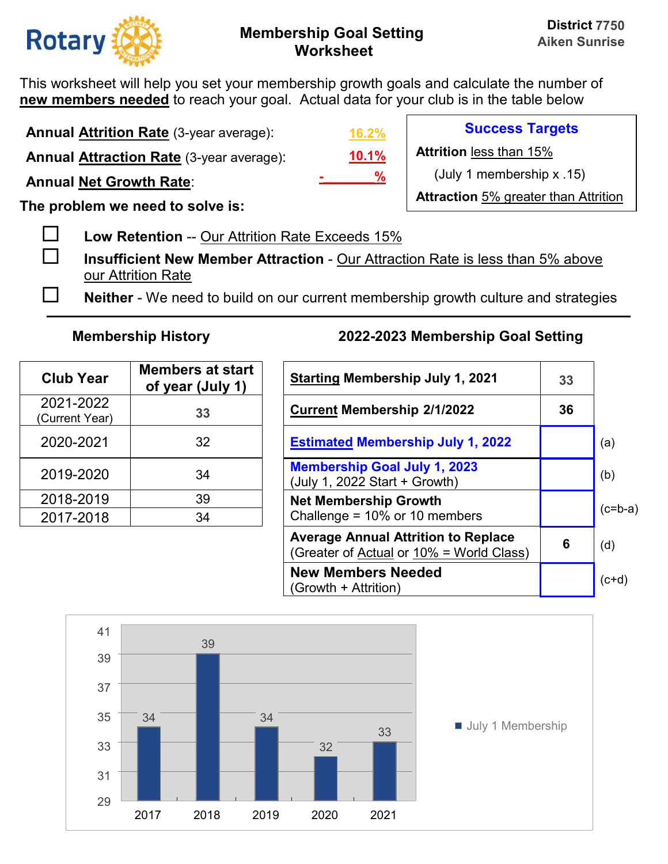

This worksheet will help you set your membership growth goals and calculate the number of **new members needed** to reach your goal. Actual data for your club is in the table below

**Annual Attrition Rate** (3-year average):

**Annual Attraction Rate** (3-year average):

**Annual Net Growth Rate**:

**The problem we need to solve is:** 

**Low Retention** -- Our Attrition Rate Exceeds 15%

 **Insufficient New Member Attraction** - Our Attraction Rate is less than 5% above our Attrition Rate

**Neither** - We need to build on our current membership growth culture and strategies

| <b>Club Year</b>            | <b>Members at start</b><br>of year (July 1) | <b>Starting Membership July 1, 20</b>                                |
|-----------------------------|---------------------------------------------|----------------------------------------------------------------------|
| 2021-2022<br>(Current Year) | 33                                          | <b>Current Membership 2/1/2022</b>                                   |
| 2020-2021                   | 32                                          | <b>Estimated Membership July 1,</b>                                  |
| 2019-2020                   | 34                                          | <b>Membership Goal July 1, 2023</b><br>(July 1, 2022 Start + Growth) |
| 2018-2019                   | 39                                          | <b>Net Membership Growth</b>                                         |
| 2017-2018                   | 34                                          | Challenge = 10% or 10 members                                        |

# **Membership History 2022-2023 Membership Goal Setting**

| <b>Club Year</b>           | <b>Members at start</b><br>of year (July 1) | <b>Starting Membership July 1, 2021</b>                                                | 33 |           |
|----------------------------|---------------------------------------------|----------------------------------------------------------------------------------------|----|-----------|
| 2021-2022<br>Current Year) | 33                                          | <b>Current Membership 2/1/2022</b>                                                     | 36 |           |
| 2020-2021                  | 32                                          | <b>Estimated Membership July 1, 2022</b>                                               |    | (a)       |
| 2019-2020                  | 34                                          | <b>Membership Goal July 1, 2023</b><br>(July 1, 2022 Start + Growth)                   |    | (b)       |
| 2018-2019                  | 39                                          | <b>Net Membership Growth</b>                                                           |    |           |
| 2017-2018                  | 34                                          | Challenge = $10\%$ or 10 members                                                       |    | $(c=b-a)$ |
|                            |                                             | <b>Average Annual Attrition to Replace</b><br>(Greater of Actual or 10% = World Class) | 6  | (d)       |
|                            |                                             | <b>New Members Needed</b><br>(Growth + Attrition)                                      |    | $(c+d)$   |



**10.1% 16.2% -\_\_\_\_\_\_\_%**

**Success Targets** 

**Attrition** less than 15%

(July 1 membership x .15)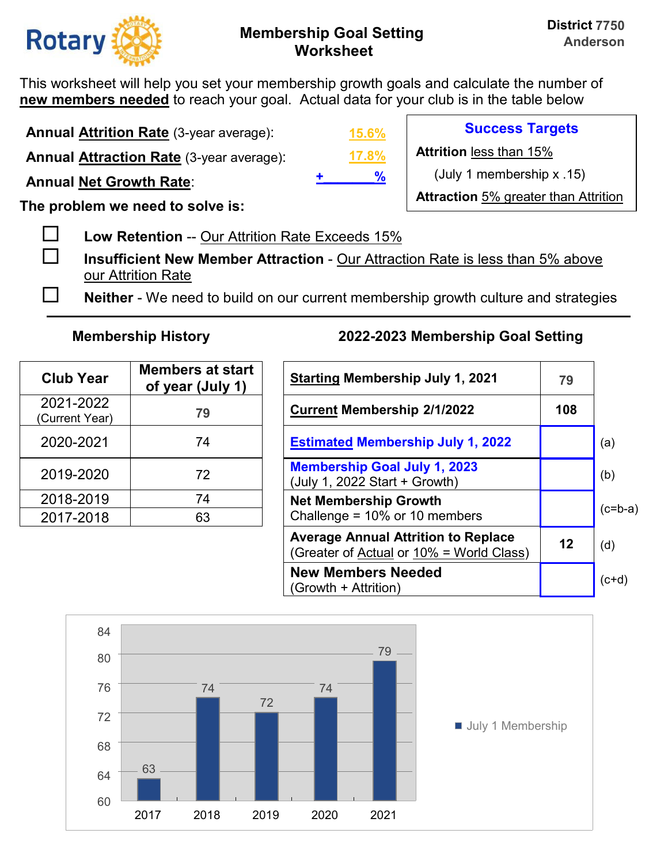

This worksheet will help you set your membership growth goals and calculate the number of **new members needed** to reach your goal. Actual data for your club is in the table below

**Annual Attrition Rate** (3-year average):

**Annual Attraction Rate** (3-year average):

**Annual Net Growth Rate**:

**The problem we need to solve is:** 

**Low Retention** -- Our Attrition Rate Exceeds 15%

 **Insufficient New Member Attraction** - Our Attraction Rate is less than 5% above our Attrition Rate

**Neither** - We need to build on our current membership growth culture and strategies

| <b>Club Year</b>            | <b>Members at start</b><br>of year (July 1) | <b>Starting Membership July 1, 20</b>                                |
|-----------------------------|---------------------------------------------|----------------------------------------------------------------------|
| 2021-2022<br>(Current Year) | 79                                          | <b>Current Membership 2/1/2022</b>                                   |
| 2020-2021                   | 74                                          | <b>Estimated Membership July 1,</b>                                  |
| 2019-2020                   | 72                                          | <b>Membership Goal July 1, 2023</b><br>(July 1, 2022 Start + Growth) |
| 2018-2019                   | 74                                          | <b>Net Membership Growth</b>                                         |
| 2017-2018                   | 63                                          | Challenge = 10% or 10 members                                        |

## **Membership History 2022-2023 Membership Goal Setting**

| <b>Club Year</b>           | <b>Members at start</b><br>of year (July 1) | <b>Starting Membership July 1, 2021</b>                                                | 79  |           |
|----------------------------|---------------------------------------------|----------------------------------------------------------------------------------------|-----|-----------|
| 2021-2022<br>Current Year) | 79                                          | <b>Current Membership 2/1/2022</b>                                                     | 108 |           |
| 2020-2021                  | 74                                          | <b>Estimated Membership July 1, 2022</b>                                               |     | (a)       |
| 2019-2020                  | 72                                          | <b>Membership Goal July 1, 2023</b><br>(July 1, 2022 Start + Growth)                   |     | (b)       |
| 2018-2019                  | 74                                          | <b>Net Membership Growth</b>                                                           |     | $(c=b-a)$ |
| 2017-2018                  | 63                                          | Challenge = $10\%$ or 10 members                                                       |     |           |
|                            |                                             | <b>Average Annual Attrition to Replace</b><br>(Greater of Actual or 10% = World Class) | 12  | (d)       |
|                            |                                             | <b>New Members Needed</b><br>(Growth + Attrition)                                      |     | $(c+d)$   |



**17.8% 15.6% +\_\_\_\_\_\_\_%**

**Success Targets** 

**Attrition** less than 15%

(July 1 membership x .15)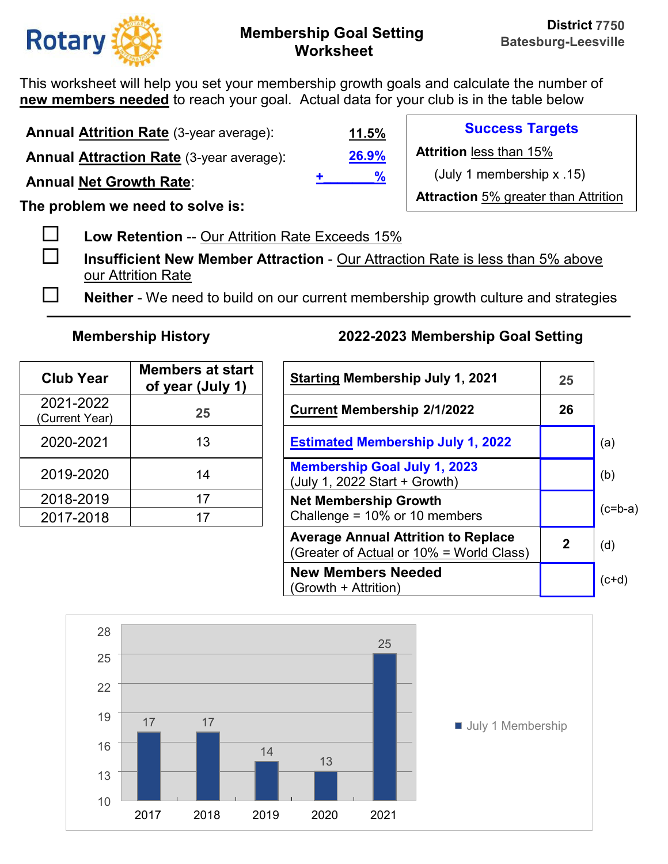

This worksheet will help you set your membership growth goals and calculate the number of **new members needed** to reach your goal. Actual data for your club is in the table below

**Annual Attrition Rate** (3-year average):

**Annual Attraction Rate** (3-year average):

**Annual Net Growth Rate**:

**The problem we need to solve is:** 

**Low Retention** -- Our Attrition Rate Exceeds 15%

 **Insufficient New Member Attraction** - Our Attraction Rate is less than 5% above our Attrition Rate

**Neither** - We need to build on our current membership growth culture and strategies

| <b>Club Year</b>            | <b>Members at start</b><br>of year (July 1) | <b>Starting Membership July 1, 20</b>                                |
|-----------------------------|---------------------------------------------|----------------------------------------------------------------------|
| 2021-2022<br>(Current Year) | 25                                          | <b>Current Membership 2/1/2022</b>                                   |
| 2020-2021                   | 13                                          | <b>Estimated Membership July 1,</b>                                  |
| 2019-2020                   | 14                                          | <b>Membership Goal July 1, 2023</b><br>(July 1, 2022 Start + Growth) |
| 2018-2019                   | 17                                          | <b>Net Membership Growth</b>                                         |
| 2017-2018                   | 17                                          | Challenge = 10% or 10 members                                        |

## **Membership History 2022-2023 Membership Goal Setting**

| <b>Club Year</b>           | <b>Members at start</b><br>of year (July 1) | <b>Starting Membership July 1, 2021</b>                                                | 25             |           |
|----------------------------|---------------------------------------------|----------------------------------------------------------------------------------------|----------------|-----------|
| 2021-2022<br>Current Year) | 25                                          | <b>Current Membership 2/1/2022</b>                                                     | 26             |           |
| 2020-2021                  | 13                                          | <b>Estimated Membership July 1, 2022</b>                                               |                | (a)       |
| 2019-2020                  | 14                                          | <b>Membership Goal July 1, 2023</b><br>(July 1, 2022 Start + Growth)                   |                | (b)       |
| 2018-2019                  | 17                                          | <b>Net Membership Growth</b>                                                           |                | $(c=b-a)$ |
| 2017-2018                  | 17                                          | Challenge = $10\%$ or 10 members                                                       |                |           |
|                            |                                             | <b>Average Annual Attrition to Replace</b><br>(Greater of Actual or 10% = World Class) | $\overline{2}$ | (d)       |
|                            |                                             | <b>New Members Needed</b><br>(Growth + Attrition)                                      |                | $(c+d)$   |



**26.9% 11.5% +\_\_\_\_\_\_\_%**

**Success Targets** 

**Attrition** less than 15%

(July 1 membership x .15)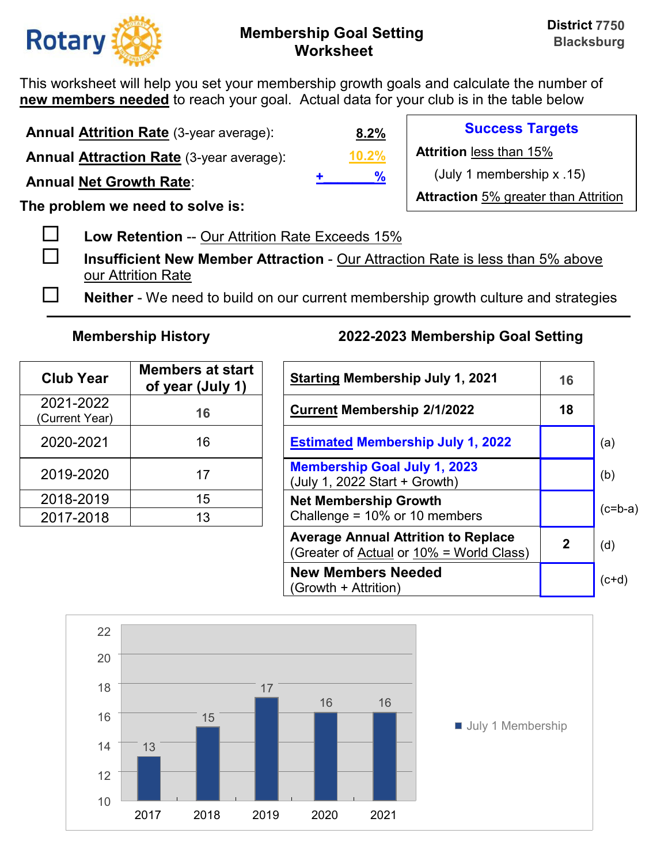

This worksheet will help you set your membership growth goals and calculate the number of **new members needed** to reach your goal. Actual data for your club is in the table below

**Annual Attrition Rate** (3-year average):

**Annual Attraction Rate** (3-year average):

**Annual Net Growth Rate**:

**The problem we need to solve is:** 

**Low Retention** -- Our Attrition Rate Exceeds 15%

 **Insufficient New Member Attraction** - Our Attraction Rate is less than 5% above our Attrition Rate

**Neither** - We need to build on our current membership growth culture and strategies

| <b>Club Year</b>            | <b>Members at start</b><br>of year (July 1) | <b>Starting Membership July 1, 2</b>                                 |
|-----------------------------|---------------------------------------------|----------------------------------------------------------------------|
| 2021-2022<br>(Current Year) | 16                                          | <b>Current Membership 2/1/2022</b>                                   |
| 2020-2021                   | 16                                          | <b>Estimated Membership July 1,</b>                                  |
| 2019-2020                   | 17                                          | <b>Membership Goal July 1, 2023</b><br>(July 1, 2022 Start + Growth) |
| 2018-2019                   | 15                                          | <b>Net Membership Growth</b>                                         |
| 2017-2018                   | 13                                          | Challenge = 10% or 10 members                                        |

# **Membership History 2022-2023 Membership Goal Setting**

| <b>Club Year</b>           | <b>Members at start</b><br>of year (July 1) | <b>Starting Membership July 1, 2021</b>                                                | 16           |           |
|----------------------------|---------------------------------------------|----------------------------------------------------------------------------------------|--------------|-----------|
| 2021-2022<br>Current Year) | 16                                          | <b>Current Membership 2/1/2022</b>                                                     | 18           |           |
| 2020-2021                  | 16                                          | <b>Estimated Membership July 1, 2022</b>                                               |              | (a)       |
| 2019-2020                  | 17                                          | <b>Membership Goal July 1, 2023</b><br>(July 1, 2022 Start + Growth)                   |              | (b)       |
| 2018-2019                  | 15                                          | <b>Net Membership Growth</b>                                                           |              | $(c=b-a)$ |
| 2017-2018                  | 13                                          | Challenge = $10\%$ or 10 members                                                       |              |           |
|                            |                                             | <b>Average Annual Attrition to Replace</b><br>(Greater of Actual or 10% = World Class) | $\mathbf{2}$ | (d)       |
|                            |                                             | <b>New Members Needed</b><br>(Growth + Attrition)                                      |              | $(c+d)$   |



**10.2% 8.2% +\_\_\_\_\_\_\_%**

**Success Targets** 

**Attrition** less than 15%

(July 1 membership x .15)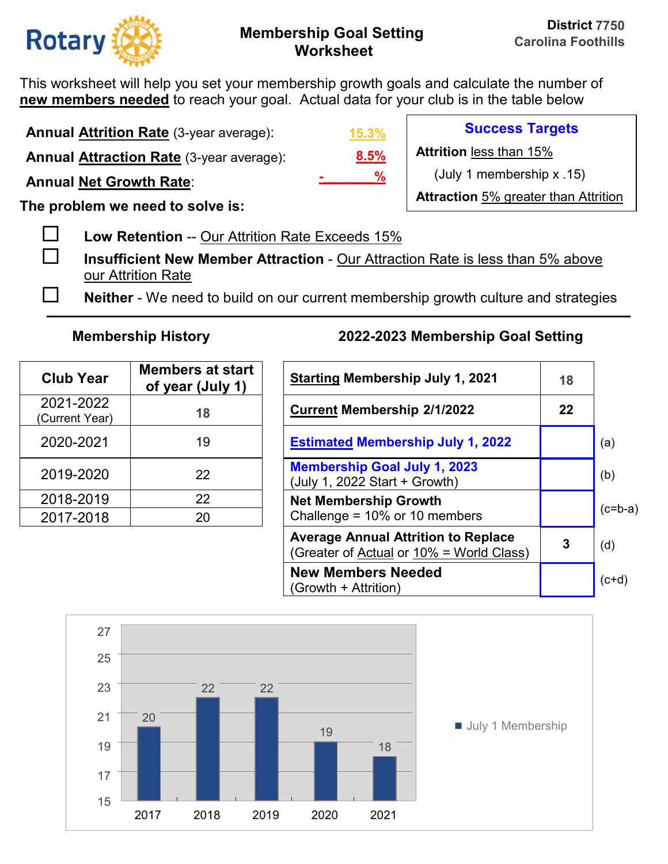

This worksheet will help you set your membership growth goals and calculate the number of **new members needed** to reach your goal. Actual data for your club is in the table below

**Annual Attrition Rate** (3-year average):

**Annual Attraction Rate** (3-year average):

**Annual Net Growth Rate**:

**The problem we need to solve is:** 

**Low Retention** -- Our Attrition Rate Exceeds 15%

 **Insufficient New Member Attraction** - Our Attraction Rate is less than 5% above our Attrition Rate

**Neither** - We need to build on our current membership growth culture and strategies

| <b>Club Year</b>            | <b>Members at start</b><br>of year (July 1) | <b>Starting Membership July 1, 20</b>                                |
|-----------------------------|---------------------------------------------|----------------------------------------------------------------------|
| 2021-2022<br>(Current Year) | 18                                          | <b>Current Membership 2/1/2022</b>                                   |
| 2020-2021                   | 19                                          | <b>Estimated Membership July 1,</b>                                  |
| 2019-2020                   | 22                                          | <b>Membership Goal July 1, 2023</b><br>(July 1, 2022 Start + Growth) |
| 2018-2019                   | 22                                          | <b>Net Membership Growth</b>                                         |
| 2017-2018                   | 20                                          | Challenge = 10% or 10 members                                        |

# **Membership History 2022-2023 Membership Goal Setting**

| <b>Club Year</b>           | <b>Members at start</b><br>of year (July 1) | <b>Starting Membership July 1, 2021</b>                                                | 18      |           |
|----------------------------|---------------------------------------------|----------------------------------------------------------------------------------------|---------|-----------|
| 2021-2022<br>Current Year) | 18                                          | <b>Current Membership 2/1/2022</b>                                                     | $22 \,$ |           |
| 2020-2021                  | 19                                          | <b>Estimated Membership July 1, 2022</b>                                               |         | (a)       |
| 2019-2020                  | 22                                          | <b>Membership Goal July 1, 2023</b><br>(July 1, 2022 Start + Growth)                   |         | (b)       |
| 2018-2019                  | 22                                          | <b>Net Membership Growth</b>                                                           |         | $(c=b-a)$ |
| 2017-2018                  | 20                                          | Challenge = $10\%$ or 10 members                                                       |         |           |
|                            |                                             | <b>Average Annual Attrition to Replace</b><br>(Greater of Actual or 10% = World Class) | 3       | (d)       |
|                            |                                             | <b>New Members Needed</b><br>(Growth + Attrition)                                      |         | $(c+d)$   |



**8.5% 15.3% -\_\_\_\_\_\_\_%**

**Success Targets** 

**Attrition** less than 15%

(July 1 membership x .15)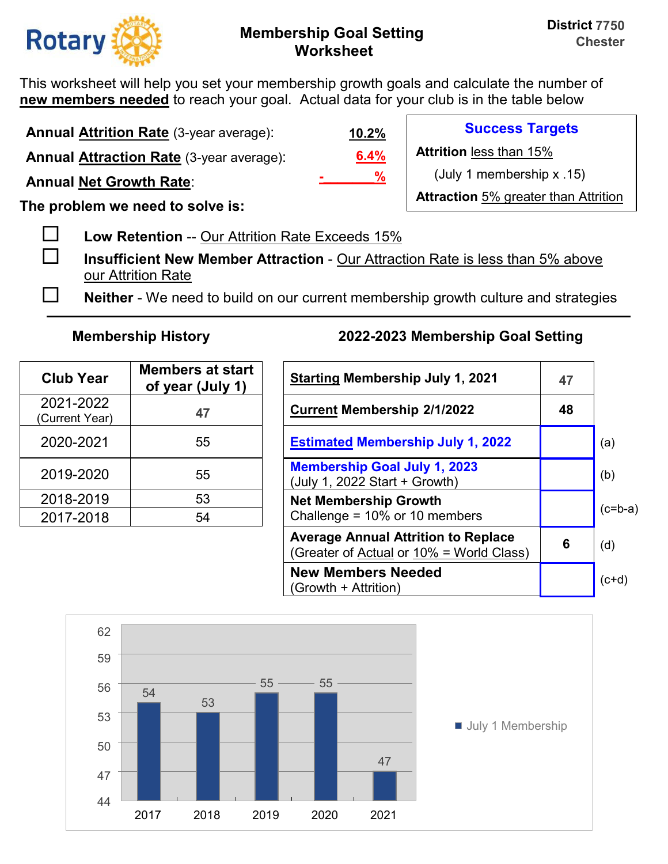

This worksheet will help you set your membership growth goals and calculate the number of **new members needed** to reach your goal. Actual data for your club is in the table below

**Annual Attrition Rate** (3-year average): **Annual Attraction Rate** (3-year average):

**Annual Net Growth Rate**:

**The problem we need to solve is:** 

**Low Retention** -- Our Attrition Rate Exceeds 15%

 **Insufficient New Member Attraction** - Our Attraction Rate is less than 5% above our Attrition Rate

**Neither** - We need to build on our current membership growth culture and strategies

| <b>Club Year</b>            | <b>Members at start</b><br>of year (July 1) | <b>Starting Membership July 1, 2</b>                                 |
|-----------------------------|---------------------------------------------|----------------------------------------------------------------------|
| 2021-2022<br>(Current Year) | 47                                          | <b>Current Membership 2/1/2022</b>                                   |
| 2020-2021                   | 55                                          | <b>Estimated Membership July 1,</b>                                  |
| 2019-2020                   | 55                                          | <b>Membership Goal July 1, 2023</b><br>(July 1, 2022 Start + Growth) |
| 2018-2019                   | 53                                          | <b>Net Membership Growth</b>                                         |
| 2017-2018                   | 54                                          | Challenge = 10% or 10 members                                        |

## **Membership History 2022-2023 Membership Goal Setting**

| <b>Club Year</b>           | <b>Members at start</b><br>of year (July 1) | <b>Starting Membership July 1, 2021</b>                                                | 47 |           |
|----------------------------|---------------------------------------------|----------------------------------------------------------------------------------------|----|-----------|
| 2021-2022<br>Current Year) | 47                                          | <b>Current Membership 2/1/2022</b>                                                     | 48 |           |
| 2020-2021                  | 55                                          | <b>Estimated Membership July 1, 2022</b>                                               |    | (a)       |
| 2019-2020                  | 55                                          | <b>Membership Goal July 1, 2023</b><br>(July 1, 2022 Start + Growth)                   |    | (b)       |
| 2018-2019                  | 53                                          | <b>Net Membership Growth</b>                                                           |    | $(c=b-a)$ |
| 2017-2018                  | 54                                          | Challenge = $10\%$ or 10 members                                                       |    |           |
|                            |                                             | <b>Average Annual Attrition to Replace</b><br>(Greater of Actual or 10% = World Class) | 6  | (d)       |
|                            |                                             | <b>New Members Needed</b><br>(Growth + Attrition)                                      |    | $(c+d)$   |



**6.4% 10.2% -\_\_\_\_\_\_\_%**

**Success Targets** 

**Attrition** less than 15%

(July 1 membership x .15)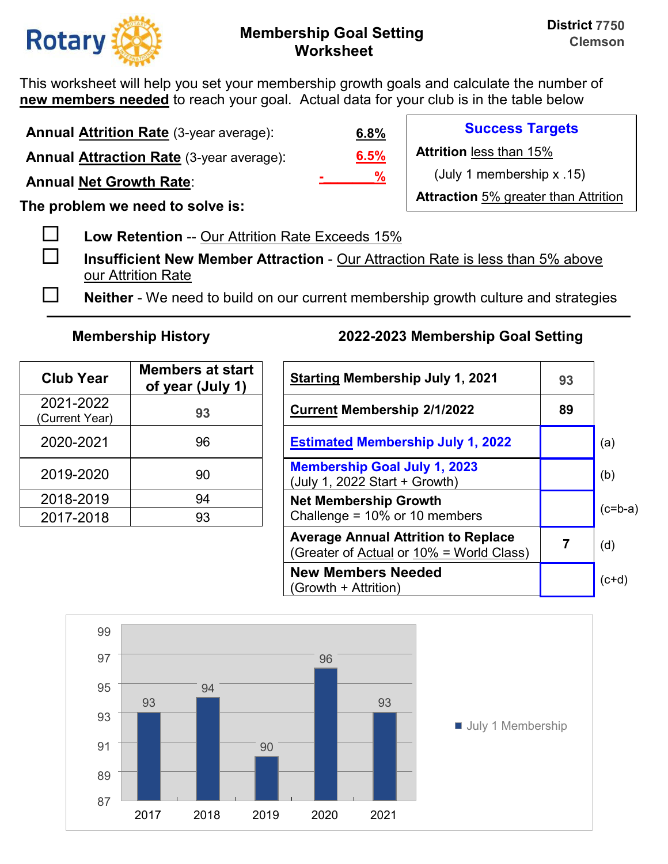

**Success Targets** 

(July 1 membership x .15)

**Attraction** 5% greater than Attrition

**Attrition** less than 15%

This worksheet will help you set your membership growth goals and calculate the number of **new members needed** to reach your goal. Actual data for your club is in the table below

**Annual Attrition Rate** (3-year average):

**Annual Attraction Rate** (3-year average):

**Annual Net Growth Rate**:

**The problem we need to solve is:** 

**Low Retention** -- Our Attrition Rate Exceeds 15%

 **Insufficient New Member Attraction** - Our Attraction Rate is less than 5% above our Attrition Rate

**Neither** - We need to build on our current membership growth culture and strategies

**6.5%**

**-\_\_\_\_\_\_\_%**

**6.8%**

| <b>Club Year</b>            | <b>Members at start</b><br>of year (July 1) | <b>Starting Membership July 1, 20</b>                                |
|-----------------------------|---------------------------------------------|----------------------------------------------------------------------|
| 2021-2022<br>(Current Year) | 93                                          | <b>Current Membership 2/1/2022</b>                                   |
| 2020-2021                   | 96                                          | <b>Estimated Membership July 1,</b>                                  |
| 2019-2020                   | 90                                          | <b>Membership Goal July 1, 2023</b><br>(July 1, 2022 Start + Growth) |
| 2018-2019                   | 94                                          | <b>Net Membership Growth</b>                                         |
| 2017-2018                   | 93                                          | Challenge = 10% or 10 members                                        |

| <b>Club Year</b>           | <b>Members at start</b><br>of year (July 1) | <b>Starting Membership July 1, 2021</b>                                                | 93 |           |
|----------------------------|---------------------------------------------|----------------------------------------------------------------------------------------|----|-----------|
| 2021-2022<br>Current Year) | 93                                          | <b>Current Membership 2/1/2022</b>                                                     | 89 |           |
| 2020-2021                  | 96                                          | <b>Estimated Membership July 1, 2022</b>                                               |    | (a)       |
| 2019-2020                  | 90                                          | <b>Membership Goal July 1, 2023</b><br>(July 1, 2022 Start + Growth)                   |    | (b)       |
| 2018-2019                  | 94                                          | <b>Net Membership Growth</b>                                                           |    |           |
| 2017-2018                  | 93                                          | Challenge = $10\%$ or 10 members                                                       |    | $(c=b-a)$ |
|                            |                                             | <b>Average Annual Attrition to Replace</b><br>(Greater of Actual or 10% = World Class) |    | (d)       |
|                            |                                             | <b>New Members Needed</b><br>(Growth + Attrition)                                      |    | $(c+d)$   |

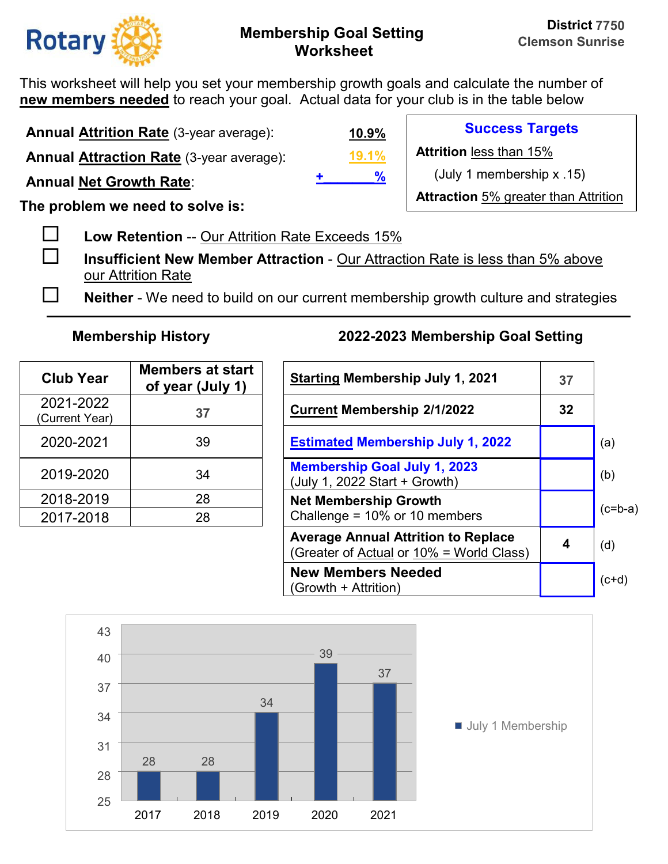

This worksheet will help you set your membership growth goals and calculate the number of **new members needed** to reach your goal. Actual data for your club is in the table below

**Annual Attrition Rate** (3-year average):

**Annual Attraction Rate** (3-year average):

**Annual Net Growth Rate**:

**The problem we need to solve is:** 

**Low Retention** -- Our Attrition Rate Exceeds 15%

 **Insufficient New Member Attraction** - Our Attraction Rate is less than 5% above our Attrition Rate

**Neither** - We need to build on our current membership growth culture and strategies

| <b>Club Year</b>            | <b>Members at start</b><br>of year (July 1) | <b>Starting Membership July 1, 20</b>                                |
|-----------------------------|---------------------------------------------|----------------------------------------------------------------------|
| 2021-2022<br>(Current Year) | 37                                          | <b>Current Membership 2/1/2022</b>                                   |
| 2020-2021                   | 39                                          | <b>Estimated Membership July 1,</b>                                  |
| 2019-2020                   | 34                                          | <b>Membership Goal July 1, 2023</b><br>(July 1, 2022 Start + Growth) |
| 2018-2019                   | 28                                          | <b>Net Membership Growth</b>                                         |
| 2017-2018                   | 28                                          | Challenge = 10% or 10 members                                        |

## **Membership History 2022-2023 Membership Goal Setting**

| <b>Club Year</b>           | <b>Members at start</b><br>of year (July 1) | <b>Starting Membership July 1, 2021</b>                                                | 37              |           |
|----------------------------|---------------------------------------------|----------------------------------------------------------------------------------------|-----------------|-----------|
| 2021-2022<br>Current Year) | 37                                          | <b>Current Membership 2/1/2022</b>                                                     | 32 <sub>2</sub> |           |
| 2020-2021                  | 39                                          | <b>Estimated Membership July 1, 2022</b>                                               |                 | (a)       |
| 2019-2020                  | 34                                          | <b>Membership Goal July 1, 2023</b><br>(July 1, 2022 Start + Growth)                   |                 | (b)       |
| 2018-2019                  | 28                                          | <b>Net Membership Growth</b>                                                           |                 |           |
| 2017-2018                  | 28                                          | Challenge = $10\%$ or 10 members                                                       |                 | $(c=b-a)$ |
|                            |                                             | <b>Average Annual Attrition to Replace</b><br>(Greater of Actual or 10% = World Class) | 4               | (d)       |
|                            |                                             | <b>New Members Needed</b><br>(Growth + Attrition)                                      |                 | $(c+d)$   |



**19.1% 10.9%**

**+\_\_\_\_\_\_\_%**

**Success Targets** 

**Attrition** less than 15%

(July 1 membership x .15)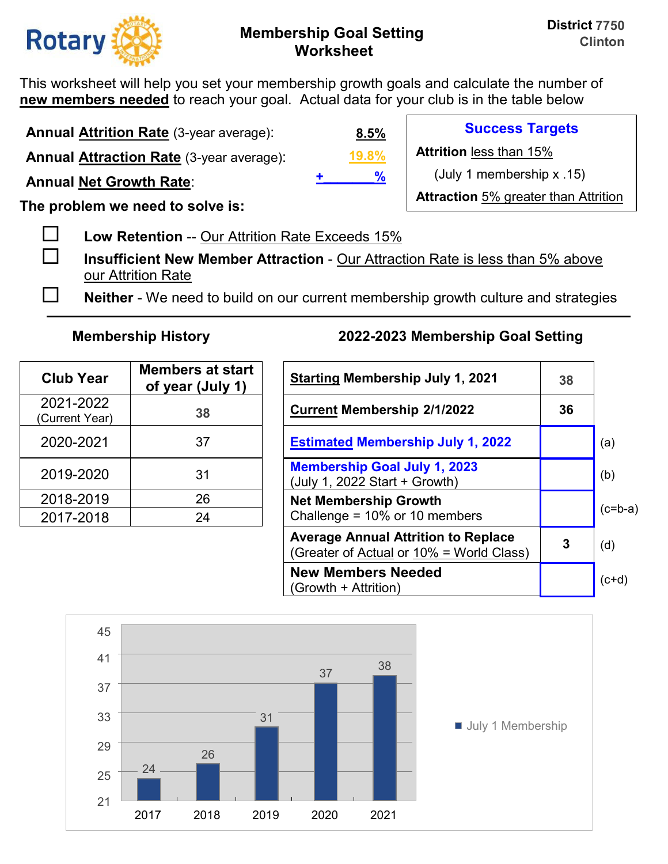

This worksheet will help you set your membership growth goals and calculate the number of **new members needed** to reach your goal. Actual data for your club is in the table below

**Annual Attrition Rate** (3-year average):

**Annual Attraction Rate** (3-year average):

**Annual Net Growth Rate**:

**The problem we need to solve is:** 

**Low Retention** -- Our Attrition Rate Exceeds 15%

 **Insufficient New Member Attraction** - Our Attraction Rate is less than 5% above our Attrition Rate

**Neither** - We need to build on our current membership growth culture and strategies

| <b>Club Year</b>            | <b>Members at start</b><br>of year (July 1) | <b>Starting Membership July 1, 20</b>                                |
|-----------------------------|---------------------------------------------|----------------------------------------------------------------------|
| 2021-2022<br>(Current Year) | 38                                          | <b>Current Membership 2/1/2022</b>                                   |
| 2020-2021                   | 37                                          | <b>Estimated Membership July 1,</b>                                  |
| 2019-2020                   | 31                                          | <b>Membership Goal July 1, 2023</b><br>(July 1, 2022 Start + Growth) |
| 2018-2019                   | 26                                          | <b>Net Membership Growth</b>                                         |
| 2017-2018                   | 24                                          | Challenge = 10% or 10 members                                        |

# **Membership History 2022-2023 Membership Goal Setting**

| <b>Club Year</b>           | <b>Members at start</b><br>of year (July 1) | <b>Starting Membership July 1, 2021</b>                                                | 38 |           |
|----------------------------|---------------------------------------------|----------------------------------------------------------------------------------------|----|-----------|
| 2021-2022<br>Current Year) | 38                                          | <b>Current Membership 2/1/2022</b>                                                     | 36 |           |
| 2020-2021                  | 37                                          | <b>Estimated Membership July 1, 2022</b>                                               |    | (a)       |
| 2019-2020                  | 31                                          | <b>Membership Goal July 1, 2023</b><br>(July 1, 2022 Start + Growth)                   |    | (b)       |
| 2018-2019                  | 26                                          | <b>Net Membership Growth</b>                                                           |    | $(c=b-a)$ |
| 2017-2018                  | 24                                          | Challenge = $10\%$ or 10 members                                                       |    |           |
|                            |                                             | <b>Average Annual Attrition to Replace</b><br>(Greater of Actual or 10% = World Class) | 3  | (d)       |
|                            |                                             | <b>New Members Needed</b><br>(Growth + Attrition)                                      |    | $(c+d)$   |



**19.8% 8.5% +\_\_\_\_\_\_\_%**

**Success Targets** 

**Attrition** less than 15%

(July 1 membership x .15)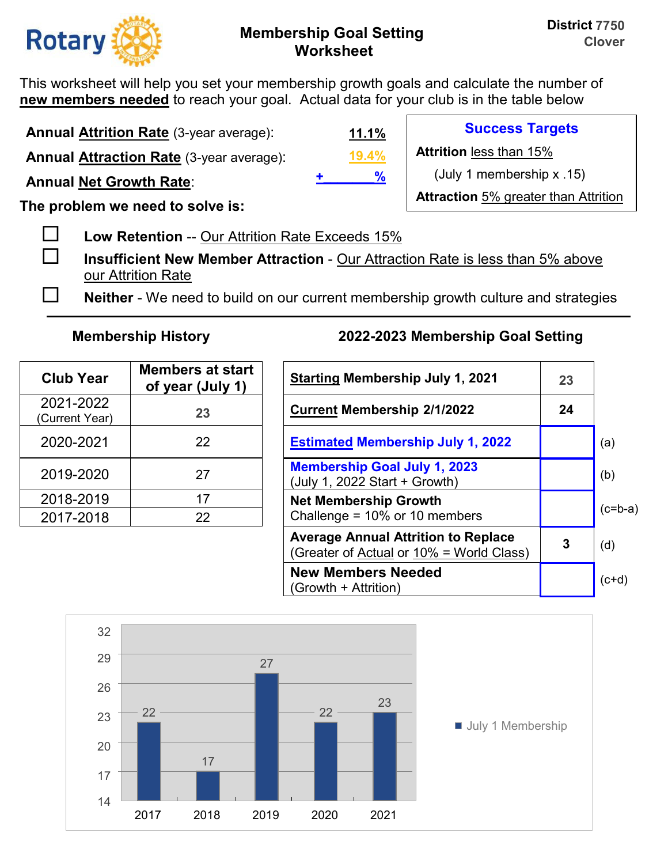

This worksheet will help you set your membership growth goals and calculate the number of **new members needed** to reach your goal. Actual data for your club is in the table below

**Annual Attrition Rate** (3-year average):

**Annual Attraction Rate** (3-year average):

**Annual Net Growth Rate**:

**The problem we need to solve is:** 

**Low Retention** -- Our Attrition Rate Exceeds 15%

 **Insufficient New Member Attraction** - Our Attraction Rate is less than 5% above our Attrition Rate

**Neither** - We need to build on our current membership growth culture and strategies

| <b>Club Year</b>            | <b>Members at start</b><br>of year (July 1) | <b>Starting Membership July 1, 20</b>                                |
|-----------------------------|---------------------------------------------|----------------------------------------------------------------------|
| 2021-2022<br>(Current Year) | 23                                          | <b>Current Membership 2/1/2022</b>                                   |
| 2020-2021                   | 22                                          | <b>Estimated Membership July 1,</b>                                  |
| 2019-2020                   | 27                                          | <b>Membership Goal July 1, 2023</b><br>(July 1, 2022 Start + Growth) |
| 2018-2019                   | 17                                          | <b>Net Membership Growth</b>                                         |
| 2017-2018                   | 22                                          | Challenge = 10% or 10 members                                        |

# **Membership History 2022-2023 Membership Goal Setting**

| <b>Club Year</b>           | <b>Members at start</b><br>of year (July 1) | <b>Starting Membership July 1, 2021</b>                                                | 23 |           |
|----------------------------|---------------------------------------------|----------------------------------------------------------------------------------------|----|-----------|
| 2021-2022<br>Current Year) | 23                                          | <b>Current Membership 2/1/2022</b>                                                     | 24 |           |
| 2020-2021                  | 22                                          | <b>Estimated Membership July 1, 2022</b>                                               |    | (a)       |
| 2019-2020                  | 27                                          | <b>Membership Goal July 1, 2023</b><br>(July 1, 2022 Start + Growth)                   |    | (b)       |
| 2018-2019                  | 17                                          | <b>Net Membership Growth</b>                                                           |    | $(c=b-a)$ |
| 2017-2018                  | 22                                          | Challenge = $10\%$ or 10 members                                                       |    |           |
|                            |                                             | <b>Average Annual Attrition to Replace</b><br>(Greater of Actual or 10% = World Class) | 3  | (d)       |
|                            |                                             | <b>New Members Needed</b><br>(Growth + Attrition)                                      |    | $(c+d)$   |



| w<br>-   |  |
|----------|--|
|          |  |
| υ/_<br>n |  |

**11.1%**

**Success Targets** 

**Attrition** less than 15%

(July 1 membership x .15)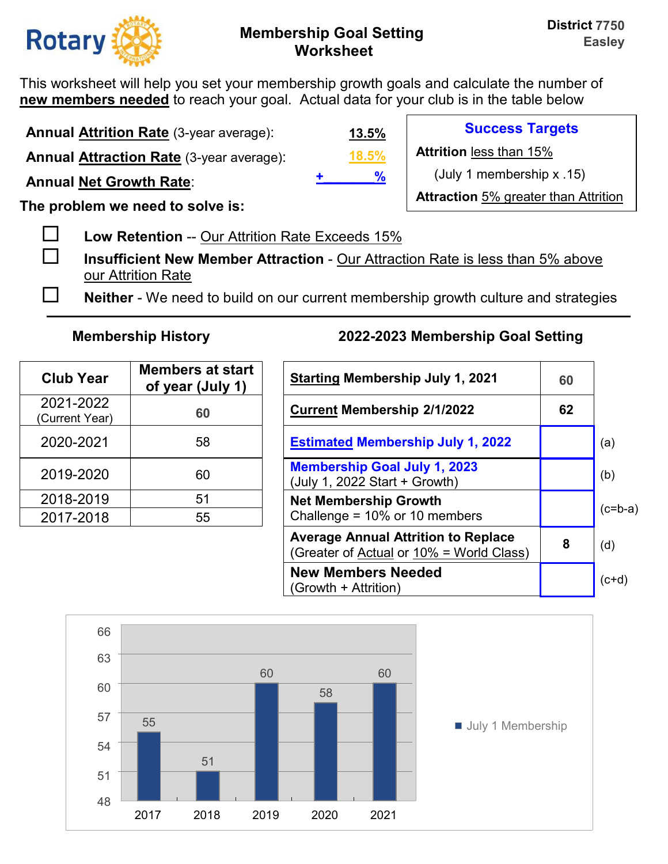

**Success Targets** 

(July 1 membership x .15)

**Attraction** 5% greater than Attrition

**Attrition** less than 15%

This worksheet will help you set your membership growth goals and calculate the number of **new members needed** to reach your goal. Actual data for your club is in the table below

**Annual Attrition Rate** (3-year average):

**Annual Attraction Rate** (3-year average):

**Annual Net Growth Rate**:

**The problem we need to solve is:** 

**Low Retention** -- Our Attrition Rate Exceeds 15%

 **Insufficient New Member Attraction** - Our Attraction Rate is less than 5% above our Attrition Rate

**Neither** - We need to build on our current membership growth culture and strategies

**18.5%**

**+\_\_\_\_\_\_\_%**

**13.5%**

| <b>Club Year</b>            | <b>Members at start</b><br>of year (July 1) | <b>Starting Membership July 1, 20</b>                                |
|-----------------------------|---------------------------------------------|----------------------------------------------------------------------|
| 2021-2022<br>(Current Year) | 60                                          | <b>Current Membership 2/1/2022</b>                                   |
| 2020-2021                   | 58                                          | <b>Estimated Membership July 1,</b>                                  |
| 2019-2020                   | 60                                          | <b>Membership Goal July 1, 2023</b><br>(July 1, 2022 Start + Growth) |
| 2018-2019                   | 51                                          | <b>Net Membership Growth</b>                                         |
| 2017-2018                   | 55                                          | Challenge = 10% or 10 members                                        |

| <b>Club Year</b>           | <b>Members at start</b><br>of year (July 1) | <b>Starting Membership July 1, 2021</b>                                                | 60 |           |
|----------------------------|---------------------------------------------|----------------------------------------------------------------------------------------|----|-----------|
| 2021-2022<br>Current Year) | 60                                          | <b>Current Membership 2/1/2022</b>                                                     | 62 |           |
| 2020-2021                  | 58                                          | <b>Estimated Membership July 1, 2022</b>                                               |    | (a)       |
| 2019-2020                  | 60                                          | <b>Membership Goal July 1, 2023</b><br>(July 1, 2022 Start + Growth)                   |    | (b)       |
| 2018-2019                  | 51                                          | <b>Net Membership Growth</b>                                                           |    |           |
| 2017-2018                  | 55                                          | Challenge = $10\%$ or 10 members                                                       |    | $(c=b-a)$ |
|                            |                                             | <b>Average Annual Attrition to Replace</b><br>(Greater of Actual or 10% = World Class) | 8  | (d)       |
|                            |                                             | <b>New Members Needed</b><br>(Growth + Attrition)                                      |    | $(c+d)$   |

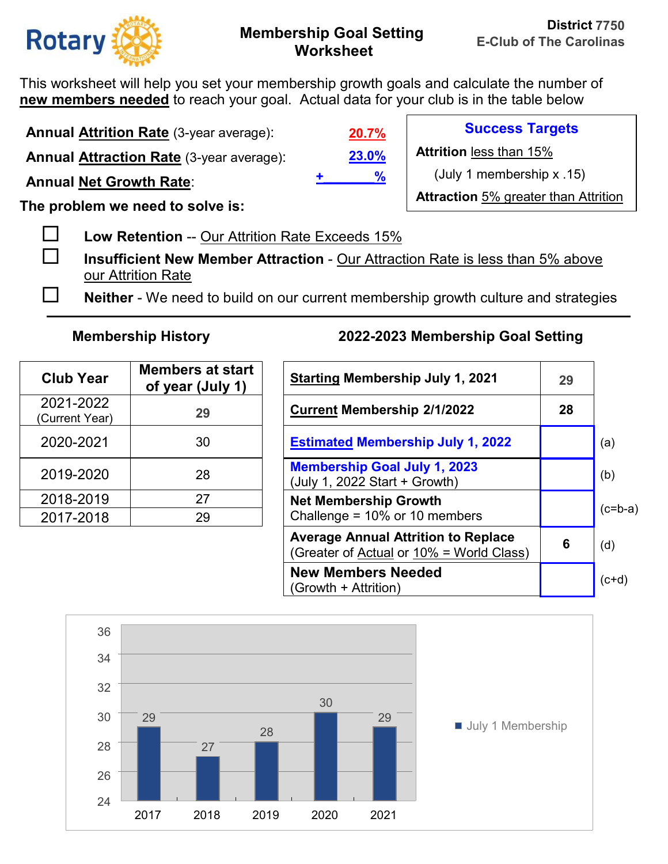

This worksheet will help you set your membership growth goals and calculate the number of **new members needed** to reach your goal. Actual data for your club is in the table below

**Annual Attrition Rate** (3-year average):

**Annual Attraction Rate** (3-year average):

**Annual Net Growth Rate**:

**The problem we need to solve is:** 

**Low Retention** -- Our Attrition Rate Exceeds 15%

 **Insufficient New Member Attraction** - Our Attraction Rate is less than 5% above our Attrition Rate

**Neither** - We need to build on our current membership growth culture and strategies

| <b>Club Year</b>            | <b>Members at start</b><br>of year (July 1) | <b>Starting Membership July 1, 20</b>                                |
|-----------------------------|---------------------------------------------|----------------------------------------------------------------------|
| 2021-2022<br>(Current Year) | 29                                          | <b>Current Membership 2/1/2022</b>                                   |
| 2020-2021                   | 30                                          | <b>Estimated Membership July 1,</b>                                  |
| 2019-2020                   | 28                                          | <b>Membership Goal July 1, 2023</b><br>(July 1, 2022 Start + Growth) |
| 2018-2019                   | 27                                          | <b>Net Membership Growth</b>                                         |
| 2017-2018                   | 29                                          | Challenge = 10% or 10 members                                        |

## **Membership History 2022-2023 Membership Goal Setting**

| <b>Club Year</b>           | <b>Members at start</b><br>of year (July 1) | <b>Starting Membership July 1, 2021</b>                                                | 29 |           |
|----------------------------|---------------------------------------------|----------------------------------------------------------------------------------------|----|-----------|
| 2021-2022<br>Current Year) | 29                                          | <b>Current Membership 2/1/2022</b>                                                     | 28 |           |
| 2020-2021                  | 30                                          | <b>Estimated Membership July 1, 2022</b>                                               |    | (a)       |
| 2019-2020                  | 28                                          | <b>Membership Goal July 1, 2023</b><br>(July 1, 2022 Start + Growth)                   |    | (b)       |
| 2018-2019                  | 27                                          | <b>Net Membership Growth</b>                                                           |    | $(c=b-a)$ |
| 2017-2018                  | 29                                          | Challenge = $10\%$ or 10 members                                                       |    |           |
|                            |                                             | <b>Average Annual Attrition to Replace</b><br>(Greater of Actual or 10% = World Class) | 6  | (d)       |
|                            |                                             | <b>New Members Needed</b><br>(Growth + Attrition)                                      |    | $(c+d)$   |



# **23.0% +\_\_\_\_\_\_\_%**

**20.7%**

**Success Targets Attrition** less than 15%

(July 1 membership x .15)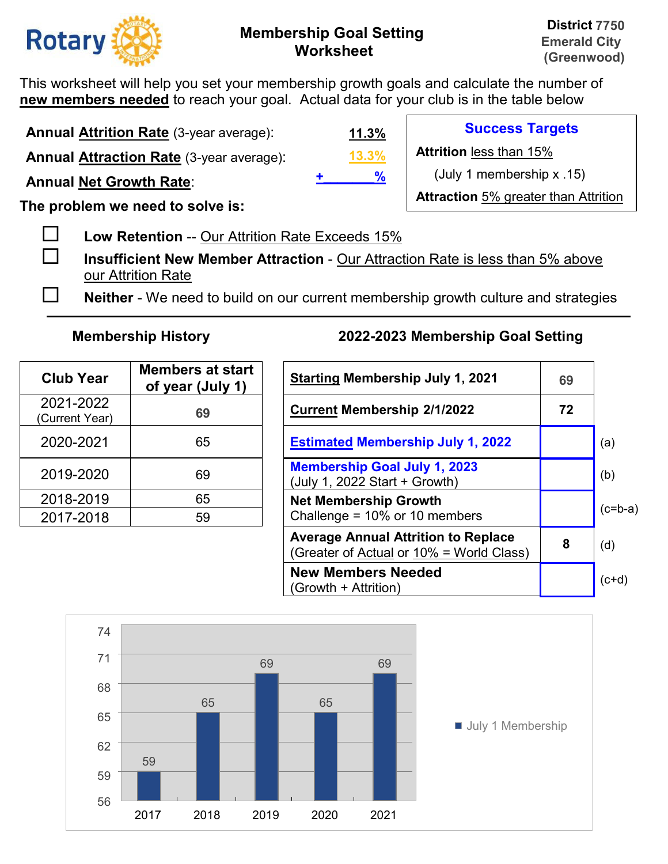

**Success Targets** 

(July 1 membership x .15)

**Attraction** 5% greater than Attrition

**Attrition** less than 15%

This worksheet will help you set your membership growth goals and calculate the number of **new members needed** to reach your goal. Actual data for your club is in the table below

**Annual Attrition Rate** (3-year average):

**Annual Attraction Rate** (3-year average):

**Annual Net Growth Rate**:

**The problem we need to solve is:** 

**Low Retention** -- Our Attrition Rate Exceeds 15%

 **Insufficient New Member Attraction** - Our Attraction Rate is less than 5% above our Attrition Rate

**Neither** - We need to build on our current membership growth culture and strategies

**13.3%**

**+\_\_\_\_\_\_\_%**

**11.3%**

| <b>Club Year</b>            | <b>Members at start</b><br>of year (July 1) | <b>Starting Membership July 1, 20</b>                                |
|-----------------------------|---------------------------------------------|----------------------------------------------------------------------|
| 2021-2022<br>(Current Year) | 69                                          | <b>Current Membership 2/1/2022</b>                                   |
| 2020-2021                   | 65                                          | <b>Estimated Membership July 1,</b>                                  |
| 2019-2020                   | 69                                          | <b>Membership Goal July 1, 2023</b><br>(July 1, 2022 Start + Growth) |
| 2018-2019                   | 65                                          | <b>Net Membership Growth</b>                                         |
| 2017-2018                   | 59                                          | Challenge = 10% or 10 members                                        |

| <b>Club Year</b>           | <b>Members at start</b><br>of year (July 1) | <b>Starting Membership July 1, 2021</b>                                                | 69 |           |
|----------------------------|---------------------------------------------|----------------------------------------------------------------------------------------|----|-----------|
| 2021-2022<br>Current Year) | 69                                          | <b>Current Membership 2/1/2022</b>                                                     | 72 |           |
| 2020-2021                  | 65                                          | <b>Estimated Membership July 1, 2022</b>                                               |    | (a)       |
| 2019-2020                  | 69                                          | <b>Membership Goal July 1, 2023</b><br>(July 1, 2022 Start + Growth)                   |    | (b)       |
| 2018-2019                  | 65                                          | <b>Net Membership Growth</b>                                                           |    | $(c=b-a)$ |
| 2017-2018                  | 59                                          | Challenge = $10\%$ or 10 members                                                       |    |           |
|                            |                                             | <b>Average Annual Attrition to Replace</b><br>(Greater of Actual or 10% = World Class) | 8  | (d)       |
|                            |                                             | <b>New Members Needed</b><br>(Growth + Attrition)                                      |    | $(c+d)$   |

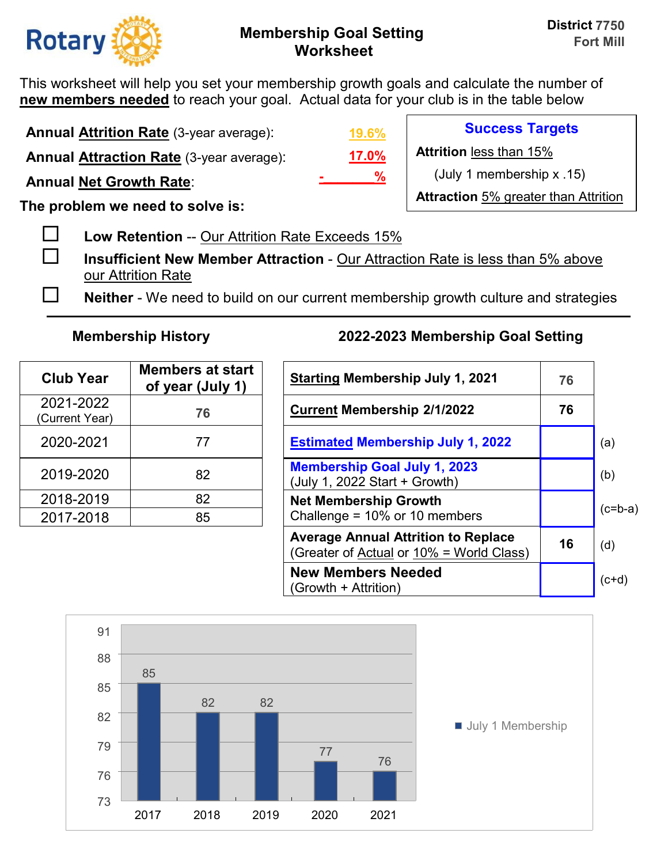

This worksheet will help you set your membership growth goals and calculate the number of **new members needed** to reach your goal. Actual data for your club is in the table below

**Annual Attrition Rate** (3-year average):

**Annual Attraction Rate** (3-year average):

**Annual Net Growth Rate**:

**The problem we need to solve is:** 

**Low Retention** -- Our Attrition Rate Exceeds 15%

 **Insufficient New Member Attraction** - Our Attraction Rate is less than 5% above our Attrition Rate

**Neither** - We need to build on our current membership growth culture and strategies

| <b>Club Year</b>            | <b>Members at start</b><br>of year (July 1) | <b>Starting Membership July 1, 20</b>                                |
|-----------------------------|---------------------------------------------|----------------------------------------------------------------------|
| 2021-2022<br>(Current Year) | 76                                          | <b>Current Membership 2/1/2022</b>                                   |
| 2020-2021                   | 77                                          | <b>Estimated Membership July 1,</b>                                  |
| 2019-2020                   | 82                                          | <b>Membership Goal July 1, 2023</b><br>(July 1, 2022 Start + Growth) |
| 2018-2019                   | 82                                          | <b>Net Membership Growth</b>                                         |
| 2017-2018                   | 85                                          | Challenge = 10% or 10 members                                        |

## **Membership History 2022-2023 Membership Goal Setting**

| <b>Club Year</b>           | <b>Members at start</b><br>of year (July 1) | <b>Starting Membership July 1, 2021</b>                                                | 76 |           |
|----------------------------|---------------------------------------------|----------------------------------------------------------------------------------------|----|-----------|
| 2021-2022<br>Current Year) | 76                                          | <b>Current Membership 2/1/2022</b>                                                     | 76 |           |
| 2020-2021                  | 77                                          | <b>Estimated Membership July 1, 2022</b>                                               |    | (a)       |
| 2019-2020                  | 82                                          | <b>Membership Goal July 1, 2023</b><br>(July 1, 2022 Start + Growth)                   |    | (b)       |
| 2018-2019                  | 82                                          | <b>Net Membership Growth</b>                                                           |    | $(c=b-a)$ |
| 2017-2018                  | 85                                          | Challenge = $10\%$ or 10 members                                                       |    |           |
|                            |                                             | <b>Average Annual Attrition to Replace</b><br>(Greater of Actual or 10% = World Class) | 16 | (d)       |
|                            |                                             | <b>New Members Needed</b><br>(Growth + Attrition)                                      |    | $(c+d)$   |



**17.0% 19.6% -\_\_\_\_\_\_\_%**

**Success Targets** 

**Attrition** less than 15%

(July 1 membership x .15)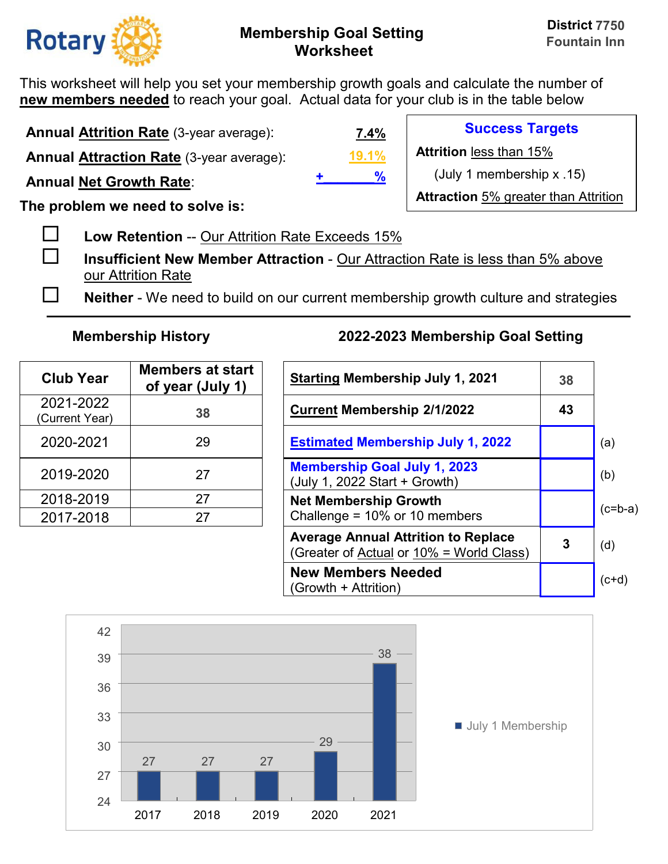

This worksheet will help you set your membership growth goals and calculate the number of **new members needed** to reach your goal. Actual data for your club is in the table below

**Annual Attrition Rate** (3-year average):

**Annual Attraction Rate** (3-year average):

**Annual Net Growth Rate**:

**The problem we need to solve is:** 

**Low Retention** -- Our Attrition Rate Exceeds 15%

 **Insufficient New Member Attraction** - Our Attraction Rate is less than 5% above our Attrition Rate

**Neither** - We need to build on our current membership growth culture and strategies

| <b>Club Year</b>            | <b>Members at start</b><br>of year (July 1) | <b>Starting Membership July 1, 20</b>                                |
|-----------------------------|---------------------------------------------|----------------------------------------------------------------------|
| 2021-2022<br>(Current Year) | 38                                          | <b>Current Membership 2/1/2022</b>                                   |
| 2020-2021                   | 29                                          | <b>Estimated Membership July 1,</b>                                  |
| 2019-2020                   | 27                                          | <b>Membership Goal July 1, 2023</b><br>(July 1, 2022 Start + Growth) |
| 2018-2019                   | 27                                          | <b>Net Membership Growth</b>                                         |
| 2017-2018                   | 27                                          | Challenge = 10% or 10 members                                        |

## **Membership History 2022-2023 Membership Goal Setting**

| <b>Club Year</b>           | <b>Members at start</b><br>of year (July 1) | <b>Starting Membership July 1, 2021</b>                                                | 38 |           |
|----------------------------|---------------------------------------------|----------------------------------------------------------------------------------------|----|-----------|
| 2021-2022<br>Current Year) | 38                                          | <b>Current Membership 2/1/2022</b>                                                     | 43 |           |
| 2020-2021                  | 29                                          | <b>Estimated Membership July 1, 2022</b>                                               |    | (a)       |
| 2019-2020                  | 27                                          | <b>Membership Goal July 1, 2023</b><br>(July 1, 2022 Start + Growth)                   |    | (b)       |
| 2018-2019                  | 27                                          | <b>Net Membership Growth</b>                                                           |    |           |
| 2017-2018                  | 27                                          | Challenge = $10\%$ or 10 members                                                       |    | $(c=b-a)$ |
|                            |                                             | <b>Average Annual Attrition to Replace</b><br>(Greater of Actual or 10% = World Class) | 3  | (d)       |
|                            |                                             | <b>New Members Needed</b><br>(Growth + Attrition)                                      |    | $(c+d)$   |



**19.1% 7.4% +\_\_\_\_\_\_\_%**

**Success Targets** 

**Attrition** less than 15%

(July 1 membership x .15)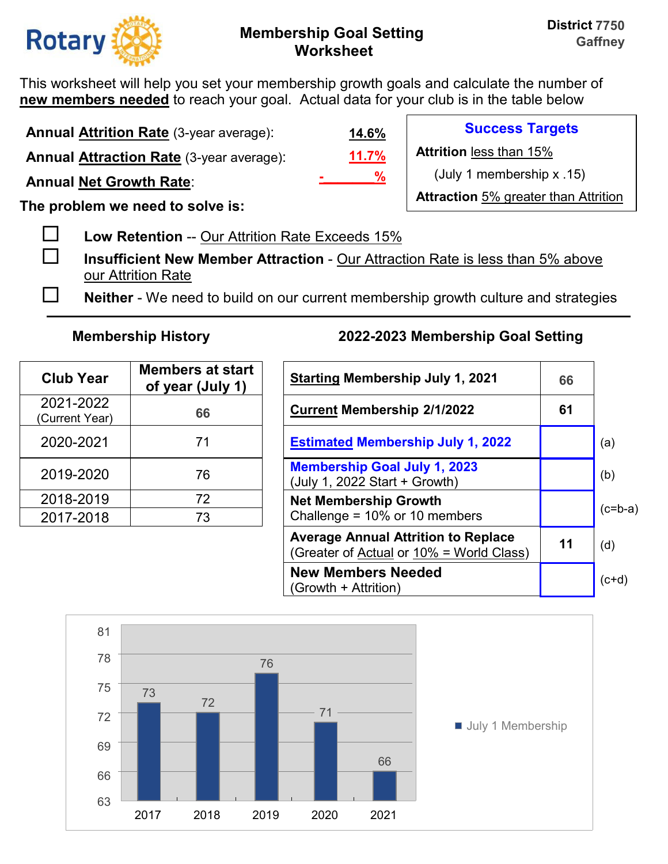

This worksheet will help you set your membership growth goals and calculate the number of **new members needed** to reach your goal. Actual data for your club is in the table below

**Annual Attrition Rate** (3-year average):

**Annual Attraction Rate** (3-year average):

**Annual Net Growth Rate**:

**The problem we need to solve is:** 

**Low Retention** -- Our Attrition Rate Exceeds 15%

 **Insufficient New Member Attraction** - Our Attraction Rate is less than 5% above our Attrition Rate

**Neither** - We need to build on our current membership growth culture and strategies

| <b>Club Year</b>            | <b>Members at start</b><br>of year (July 1) | <b>Starting Membership July 1, 2</b>                                 |
|-----------------------------|---------------------------------------------|----------------------------------------------------------------------|
| 2021-2022<br>(Current Year) | 66                                          | <b>Current Membership 2/1/2022</b>                                   |
| 2020-2021                   | 71                                          | <b>Estimated Membership July 1,</b>                                  |
| 2019-2020                   | 76                                          | <b>Membership Goal July 1, 2023</b><br>(July 1, 2022 Start + Growth) |
| 2018-2019                   | 72                                          | <b>Net Membership Growth</b>                                         |
| 2017-2018                   | 73                                          | Challenge = 10% or 10 members                                        |

# **Membership History 2022-2023 Membership Goal Setting**

| <b>Club Year</b>           | <b>Members at start</b><br>of year (July 1) | <b>Starting Membership July 1, 2021</b>                                                | 66 |           |
|----------------------------|---------------------------------------------|----------------------------------------------------------------------------------------|----|-----------|
| 2021-2022<br>Current Year) | 66                                          | <b>Current Membership 2/1/2022</b>                                                     | 61 |           |
| 2020-2021                  | 71                                          | <b>Estimated Membership July 1, 2022</b>                                               |    | (a)       |
| 2019-2020                  | 76                                          | <b>Membership Goal July 1, 2023</b><br>(July 1, 2022 Start + Growth)                   |    | (b)       |
| 2018-2019                  | 72                                          | <b>Net Membership Growth</b>                                                           |    |           |
| 2017-2018                  | 73                                          | Challenge = $10\%$ or 10 members                                                       |    | $(c=b-a)$ |
|                            |                                             | <b>Average Annual Attrition to Replace</b><br>(Greater of Actual or 10% = World Class) | 11 | (d)       |
|                            |                                             | <b>New Members Needed</b><br>(Growth + Attrition)                                      |    | $(ct+d)$  |



**11.7% 14.6% -\_\_\_\_\_\_\_%**

**Success Targets** 

**Attrition** less than 15%

(July 1 membership x .15)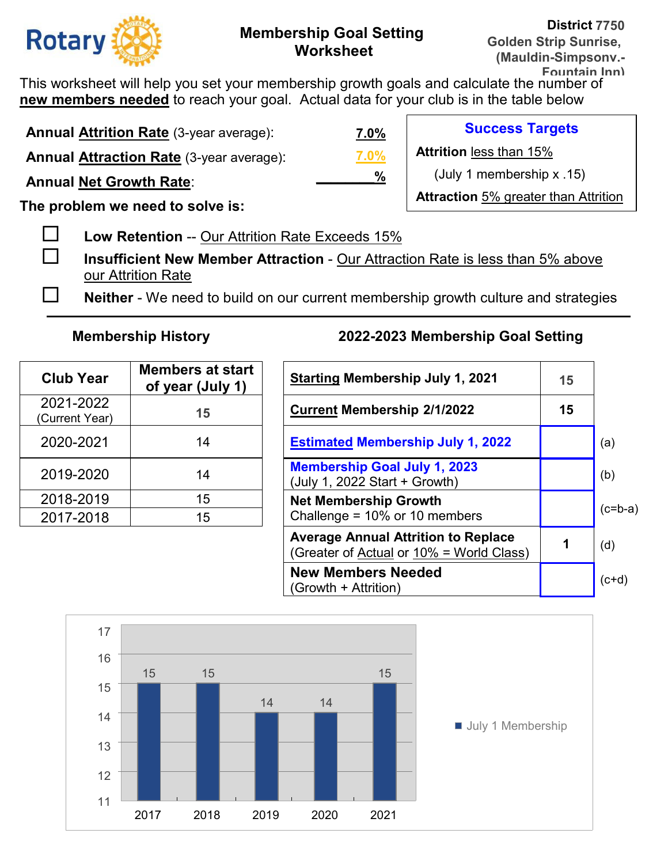

This worksheet will help you set your membership growth goals and calculate the number of **new members needed** to reach your goal. Actual data for your club is in the table below

**Annual Attrition Rate** (3-year average): **Annual Attraction Rate** (3-year average): **Annual Net Growth Rate**: **The problem we need to solve is: Success Targets Attrition** less than 15% (July 1 membership x .15) **Attraction** 5% greater than Attrition **7.0% 7.0% \_\_\_\_\_\_\_\_%**

**Low Retention** -- Our Attrition Rate Exceeds 15%

- **Insufficient New Member Attraction** Our Attraction Rate is less than 5% above our Attrition Rate
- **Neither** We need to build on our current membership growth culture and strategies

| <b>Club Year</b>            | <b>Members at start</b><br>of year (July 1) | <b>Starting Membership July 1, 2</b>                                 |
|-----------------------------|---------------------------------------------|----------------------------------------------------------------------|
| 2021-2022<br>(Current Year) | 15                                          | <b>Current Membership 2/1/2022</b>                                   |
| 2020-2021                   | 14                                          | <b>Estimated Membership July 1,</b>                                  |
| 2019-2020                   | 14                                          | <b>Membership Goal July 1, 2023</b><br>(July 1, 2022 Start + Growth) |
| 2018-2019                   | 15                                          | <b>Net Membership Growth</b>                                         |
| 2017-2018                   | 15                                          | Challenge = 10% or 10 members                                        |

| <b>Club Year</b>           | <b>Members at start</b><br>of year (July 1) | <b>Starting Membership July 1, 2021</b>                                                | 15 |           |
|----------------------------|---------------------------------------------|----------------------------------------------------------------------------------------|----|-----------|
| 2021-2022<br>Current Year) | 15                                          | <b>Current Membership 2/1/2022</b>                                                     | 15 |           |
| 2020-2021                  | 14                                          | <b>Estimated Membership July 1, 2022</b>                                               |    | (a)       |
| 2019-2020                  | 14                                          | <b>Membership Goal July 1, 2023</b><br>(July 1, 2022 Start + Growth)                   |    | (b)       |
| 2018-2019                  | 15                                          | <b>Net Membership Growth</b>                                                           |    |           |
| 2017-2018                  | 15                                          | Challenge = $10\%$ or 10 members                                                       |    | $(c=b-a)$ |
|                            |                                             | <b>Average Annual Attrition to Replace</b><br>(Greater of Actual or 10% = World Class) |    | (d)       |
|                            |                                             | <b>New Members Needed</b><br>(Growth + Attrition)                                      |    | $(c+d)$   |

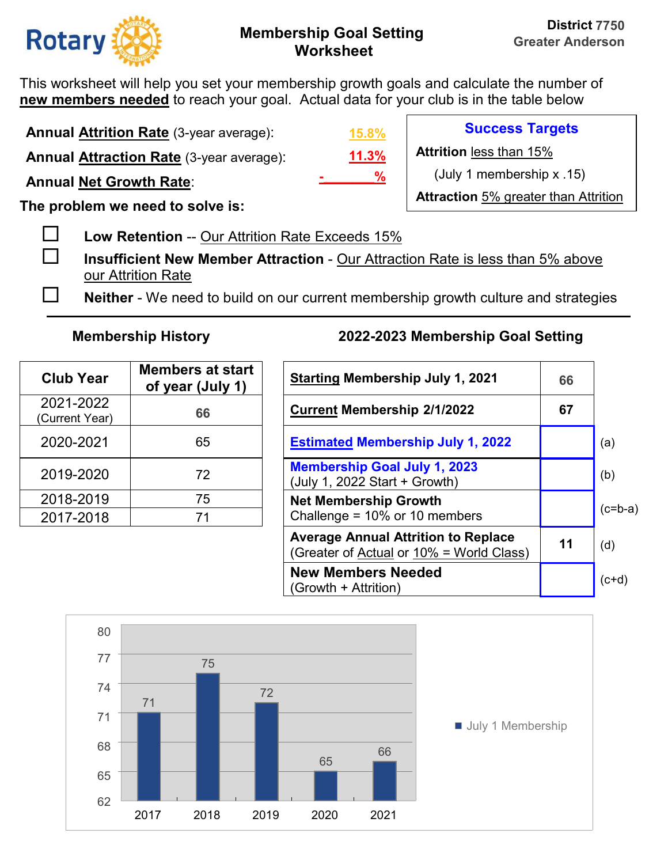

This worksheet will help you set your membership growth goals and calculate the number of **new members needed** to reach your goal. Actual data for your club is in the table below

**Annual Attrition Rate** (3-year average):

**Annual Attraction Rate** (3-year average):

**Annual Net Growth Rate**:

**The problem we need to solve is:** 

**Low Retention** -- Our Attrition Rate Exceeds 15%

 **Insufficient New Member Attraction** - Our Attraction Rate is less than 5% above our Attrition Rate

**Neither** - We need to build on our current membership growth culture and strategies

| <b>Club Year</b>            | <b>Members at start</b><br>of year (July 1) | <b>Starting Membership July 1, 20</b>                                |
|-----------------------------|---------------------------------------------|----------------------------------------------------------------------|
| 2021-2022<br>(Current Year) | 66                                          | <b>Current Membership 2/1/2022</b>                                   |
| 2020-2021                   | 65                                          | <b>Estimated Membership July 1,</b>                                  |
| 2019-2020                   | 72                                          | <b>Membership Goal July 1, 2023</b><br>(July 1, 2022 Start + Growth) |
| 2018-2019                   | 75                                          | <b>Net Membership Growth</b>                                         |
| 2017-2018                   | 71                                          | Challenge = 10% or 10 members                                        |

# **Membership History 2022-2023 Membership Goal Setting**

| <b>Club Year</b>           | <b>Members at start</b><br>of year (July 1) | <b>Starting Membership July 1, 2021</b>                                                | 66 |           |
|----------------------------|---------------------------------------------|----------------------------------------------------------------------------------------|----|-----------|
| 2021-2022<br>Current Year) | 66                                          | <b>Current Membership 2/1/2022</b>                                                     | 67 |           |
| 2020-2021                  | 65                                          | <b>Estimated Membership July 1, 2022</b>                                               |    | (a)       |
| 2019-2020                  | 72                                          | <b>Membership Goal July 1, 2023</b><br>(July 1, 2022 Start + Growth)                   |    | (b)       |
| 2018-2019                  | 75                                          | <b>Net Membership Growth</b>                                                           |    | $(c=b-a)$ |
| 2017-2018                  | 71                                          | Challenge = $10\%$ or 10 members                                                       |    |           |
|                            |                                             | <b>Average Annual Attrition to Replace</b><br>(Greater of Actual or 10% = World Class) | 11 | (d)       |
|                            |                                             | <b>New Members Needed</b><br>(Growth + Attrition)                                      |    | $(c+d)$   |



**11.3% 15.8% -\_\_\_\_\_\_\_%**

**Success Targets** 

**Attrition** less than 15%

(July 1 membership x .15)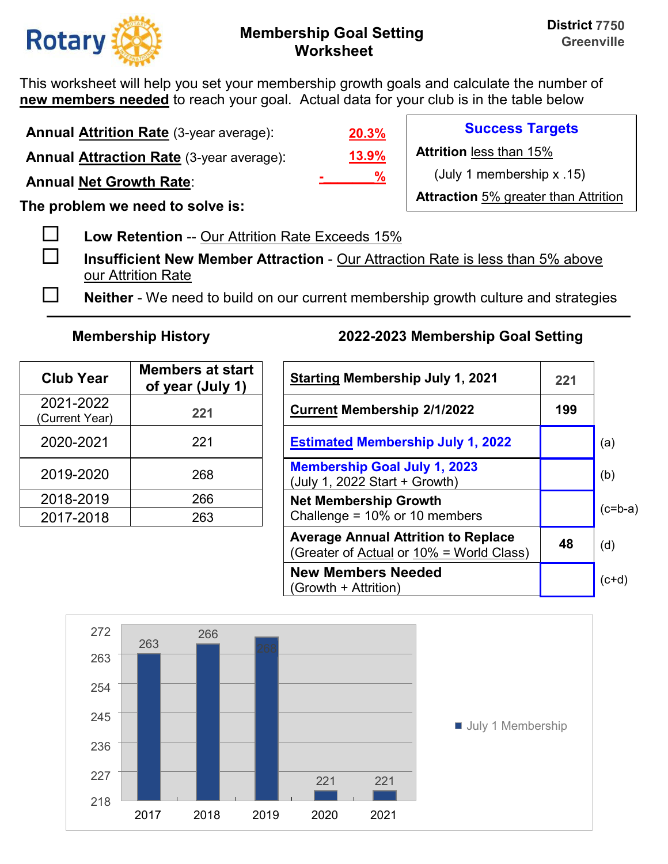

This worksheet will help you set your membership growth goals and calculate the number of **new members needed** to reach your goal. Actual data for your club is in the table below

**Annual Attrition Rate** (3-year average):

**Annual Attraction Rate** (3-year average):

**Annual Net Growth Rate**:

**The problem we need to solve is:** 

**Low Retention** -- Our Attrition Rate Exceeds 15%

 **Insufficient New Member Attraction** - Our Attraction Rate is less than 5% above our Attrition Rate

**Neither** - We need to build on our current membership growth culture and strategies

| <b>Club Year</b>            | <b>Members at start</b><br>of year (July 1) | <b>Starting Membership July 1, 2</b>                                 |
|-----------------------------|---------------------------------------------|----------------------------------------------------------------------|
| 2021-2022<br>(Current Year) | 221                                         | <b>Current Membership 2/1/2022</b>                                   |
| 2020-2021                   | 221                                         | <b>Estimated Membership July 1,</b>                                  |
| 2019-2020                   | 268                                         | <b>Membership Goal July 1, 2023</b><br>(July 1, 2022 Start + Growth) |
| 2018-2019                   | 266                                         | <b>Net Membership Growth</b>                                         |
| 2017-2018                   | 263                                         | Challenge = 10% or 10 members                                        |

## **Membership History 2022-2023 Membership Goal Setting**

| <b>Club Year</b>           | <b>Members at start</b><br>of year (July 1) | <b>Starting Membership July 1, 2021</b>                                                | 221 |           |
|----------------------------|---------------------------------------------|----------------------------------------------------------------------------------------|-----|-----------|
| 2021-2022<br>Current Year) | 221                                         | <b>Current Membership 2/1/2022</b>                                                     | 199 |           |
| 2020-2021                  | 221                                         | <b>Estimated Membership July 1, 2022</b>                                               |     | (a)       |
| 2019-2020                  | 268                                         | <b>Membership Goal July 1, 2023</b><br>(July 1, 2022 Start + Growth)                   |     | (b)       |
| 2018-2019                  | 266                                         | <b>Net Membership Growth</b>                                                           |     | $(c=b-a)$ |
| 2017-2018                  | 263                                         | Challenge = $10\%$ or 10 members                                                       |     |           |
|                            |                                             | <b>Average Annual Attrition to Replace</b><br>(Greater of Actual or 10% = World Class) | 48  | (d)       |
|                            |                                             | <b>New Members Needed</b><br>(Growth + Attrition)                                      |     | $(ct+d)$  |



**13.9% 20.3% -\_\_\_\_\_\_\_%**

**Success Targets** 

**Attrition** less than 15%

(July 1 membership x .15)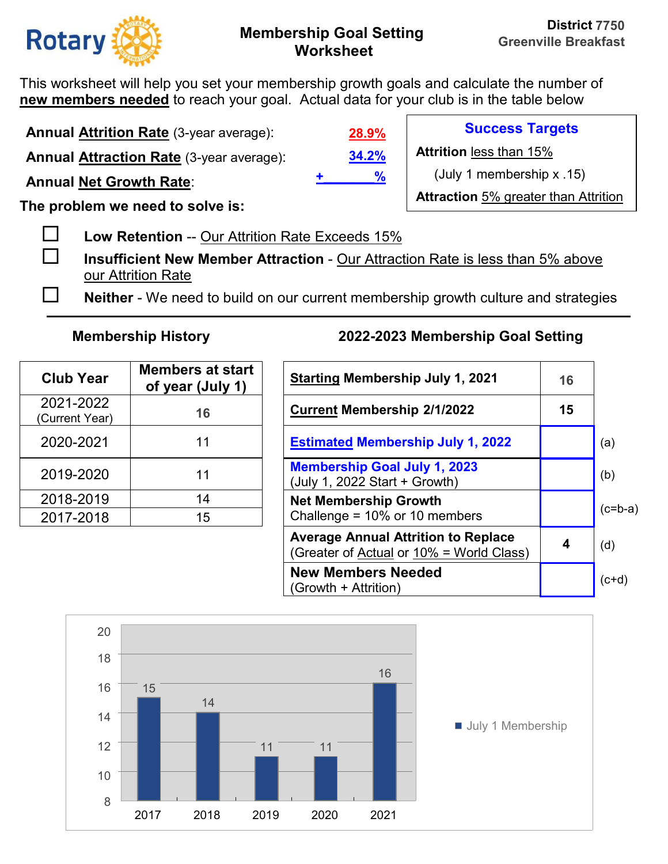

**Success Targets** 

(July 1 membership x .15)

**Attraction** 5% greater than Attrition

**Attrition** less than 15%

This worksheet will help you set your membership growth goals and calculate the number of **new members needed** to reach your goal. Actual data for your club is in the table below

**Annual Attrition Rate** (3-year average):

**Annual Attraction Rate** (3-year average):

**Annual Net Growth Rate**:

**The problem we need to solve is:** 

**Low Retention** -- Our Attrition Rate Exceeds 15%

 **Insufficient New Member Attraction** - Our Attraction Rate is less than 5% above our Attrition Rate

**Neither** - We need to build on our current membership growth culture and strategies

**34.2%**

**+\_\_\_\_\_\_\_%**

**28.9%**

| <b>Club Year</b>            | <b>Members at start</b><br>of year (July 1) | <b>Starting Membership July 1, 20</b>                                |
|-----------------------------|---------------------------------------------|----------------------------------------------------------------------|
| 2021-2022<br>(Current Year) | 16                                          | <b>Current Membership 2/1/2022</b>                                   |
| 2020-2021                   | 11                                          | <b>Estimated Membership July 1,</b>                                  |
| 2019-2020                   | 11                                          | <b>Membership Goal July 1, 2023</b><br>(July 1, 2022 Start + Growth) |
| 2018-2019                   | 14                                          | <b>Net Membership Growth</b>                                         |
| 2017-2018                   | 15                                          | Challenge = 10% or 10 members                                        |

| <b>Club Year</b>           | <b>Members at start</b><br>of year (July 1) | <b>Starting Membership July 1, 2021</b>                                                | 16 |           |
|----------------------------|---------------------------------------------|----------------------------------------------------------------------------------------|----|-----------|
| 2021-2022<br>Current Year) | 16                                          | <b>Current Membership 2/1/2022</b>                                                     | 15 |           |
| 2020-2021                  | 11                                          | <b>Estimated Membership July 1, 2022</b>                                               |    | (a)       |
| 2019-2020                  | 11                                          | <b>Membership Goal July 1, 2023</b><br>(July 1, 2022 Start + Growth)                   |    | (b)       |
| 2018-2019                  | 14                                          | <b>Net Membership Growth</b>                                                           |    | $(c=b-a)$ |
| 2017-2018                  | 15                                          | Challenge = $10\%$ or 10 members                                                       |    |           |
|                            |                                             | <b>Average Annual Attrition to Replace</b><br>(Greater of Actual or 10% = World Class) | 4  | (d)       |
|                            |                                             | <b>New Members Needed</b><br>(Growth + Attrition)                                      |    | $(c+d)$   |

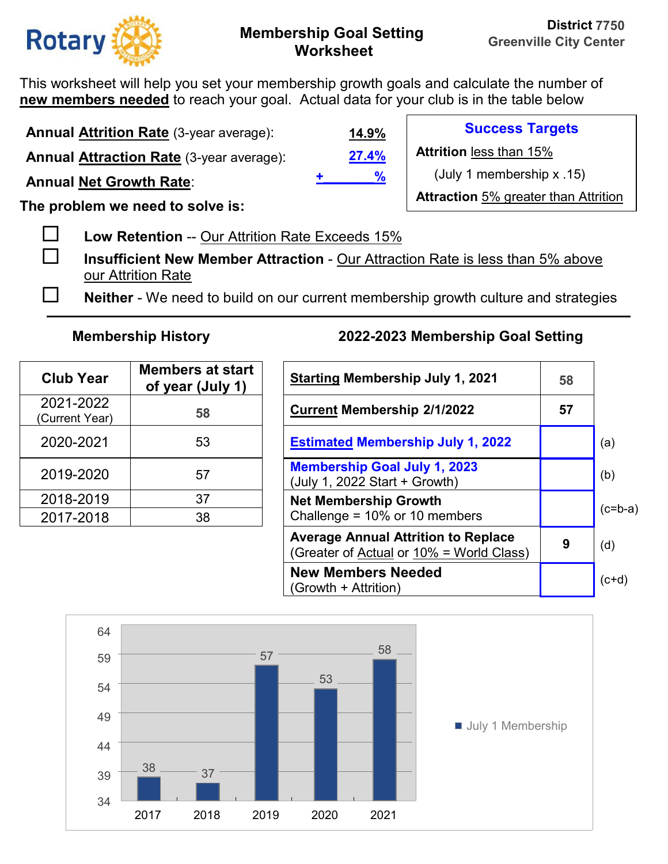

This worksheet will help you set your membership growth goals and calculate the number of **new members needed** to reach your goal. Actual data for your club is in the table below

**Annual Attrition Rate** (3-year average):

**Annual Attraction Rate** (3-year average):

**Annual Net Growth Rate**:

**The problem we need to solve is:** 

**Low Retention** -- Our Attrition Rate Exceeds 15%

 **Insufficient New Member Attraction** - Our Attraction Rate is less than 5% above our Attrition Rate

**Neither** - We need to build on our current membership growth culture and strategies

| <b>Club Year</b>            | <b>Members at start</b><br>of year (July 1) | <b>Starting Membership July 1, 20</b>                                |
|-----------------------------|---------------------------------------------|----------------------------------------------------------------------|
| 2021-2022<br>(Current Year) | 58                                          | <b>Current Membership 2/1/2022</b>                                   |
| 2020-2021                   | 53                                          | <b>Estimated Membership July 1,</b>                                  |
| 2019-2020                   | 57                                          | <b>Membership Goal July 1, 2023</b><br>(July 1, 2022 Start + Growth) |
| 2018-2019                   | 37                                          | <b>Net Membership Growth</b>                                         |
| 2017-2018                   | 38                                          | Challenge = 10% or 10 members                                        |

## **Membership History 2022-2023 Membership Goal Setting**

| <b>Club Year</b>           | <b>Members at start</b><br>of year (July 1) | <b>Starting Membership July 1, 2021</b>                                                | 58 |           |
|----------------------------|---------------------------------------------|----------------------------------------------------------------------------------------|----|-----------|
| 2021-2022<br>Current Year) | 58                                          | <b>Current Membership 2/1/2022</b>                                                     | 57 |           |
| 2020-2021                  | 53                                          | <b>Estimated Membership July 1, 2022</b>                                               |    | (a)       |
| 2019-2020                  | 57                                          | <b>Membership Goal July 1, 2023</b><br>(July 1, 2022 Start + Growth)                   |    | (b)       |
| 2018-2019                  | 37                                          | <b>Net Membership Growth</b>                                                           |    | $(c=b-a)$ |
| 2017-2018                  | 38                                          | Challenge = $10\%$ or 10 members                                                       |    |           |
|                            |                                             | <b>Average Annual Attrition to Replace</b><br>(Greater of Actual or 10% = World Class) | 9  | (d)       |
|                            |                                             | <b>New Members Needed</b><br>(Growth + Attrition)                                      |    | $(c+d)$   |



**27.4% 14.9% +\_\_\_\_\_\_\_%**

**Success Targets** 

**Attrition** less than 15%

(July 1 membership x .15)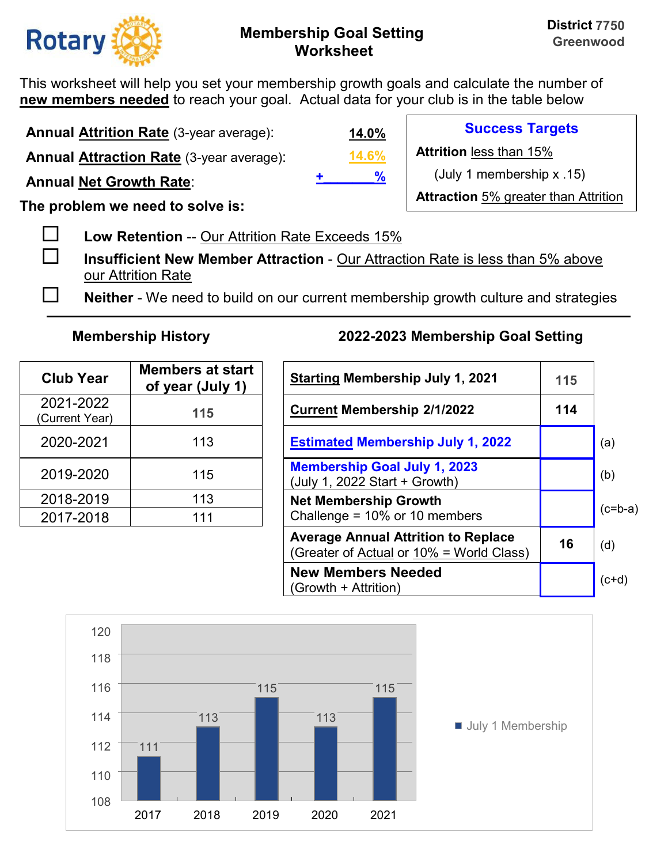

**Success Targets** 

(July 1 membership x .15)

**Attraction** 5% greater than Attrition

**Attrition** less than 15%

This worksheet will help you set your membership growth goals and calculate the number of **new members needed** to reach your goal. Actual data for your club is in the table below

**Annual Attrition Rate** (3-year average):

**Annual Attraction Rate** (3-year average):

**Annual Net Growth Rate**:

**The problem we need to solve is:** 

**Low Retention** -- Our Attrition Rate Exceeds 15%

 **Insufficient New Member Attraction** - Our Attraction Rate is less than 5% above our Attrition Rate

**Neither** - We need to build on our current membership growth culture and strategies

**14.6%**

**+\_\_\_\_\_\_\_%**

**14.0%**

| <b>Club Year</b>            | <b>Members at start</b><br>of year (July 1) | <b>Starting Membership July 1, 2</b>                                 |
|-----------------------------|---------------------------------------------|----------------------------------------------------------------------|
| 2021-2022<br>(Current Year) | 115                                         | <b>Current Membership 2/1/2022</b>                                   |
| 2020-2021                   | 113                                         | <b>Estimated Membership July 1,</b>                                  |
| 2019-2020                   | 115                                         | <b>Membership Goal July 1, 2023</b><br>(July 1, 2022 Start + Growth) |
| 2018-2019                   | 113                                         | <b>Net Membership Growth</b>                                         |
| 2017-2018                   | 111                                         | Challenge = 10% or 10 members                                        |

| <b>Club Year</b>           | <b>Members at start</b><br>of year (July 1) | <b>Starting Membership July 1, 2021</b>                                                | 115 |           |
|----------------------------|---------------------------------------------|----------------------------------------------------------------------------------------|-----|-----------|
| 2021-2022<br>Current Year) | 115                                         | <b>Current Membership 2/1/2022</b>                                                     | 114 |           |
| 2020-2021                  | 113                                         | <b>Estimated Membership July 1, 2022</b>                                               |     | (a)       |
| 2019-2020                  | 115                                         | <b>Membership Goal July 1, 2023</b><br>(July 1, 2022 Start + Growth)                   |     | (b)       |
| 2018-2019                  | 113                                         | <b>Net Membership Growth</b>                                                           |     | $(c=b-a)$ |
| 2017-2018                  | 111                                         | Challenge = $10\%$ or 10 members                                                       |     |           |
|                            |                                             | <b>Average Annual Attrition to Replace</b><br>(Greater of Actual or 10% = World Class) | 16  | (d)       |
|                            |                                             | <b>New Members Needed</b><br>(Growth + Attrition)                                      |     | $(c+d)$   |

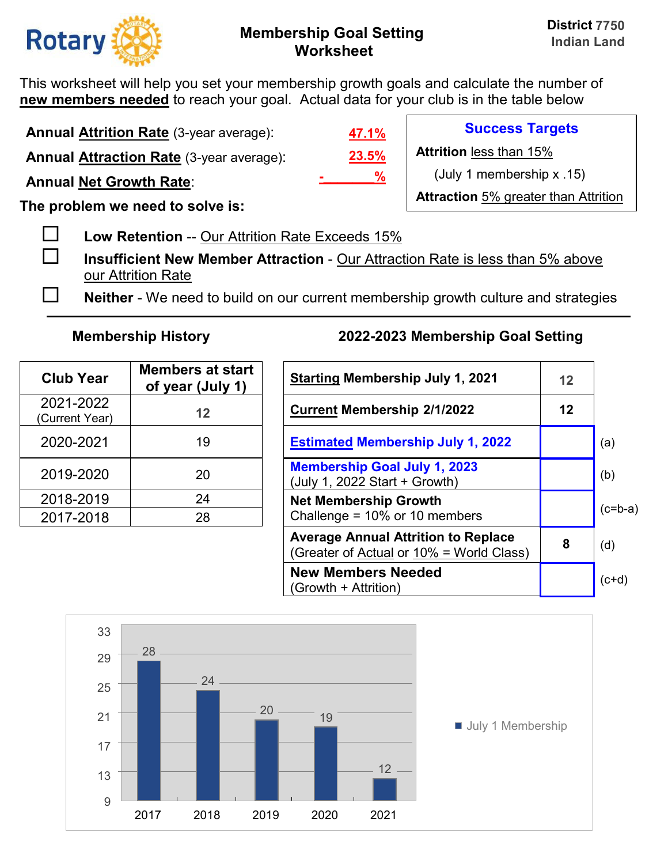

**Success Targets** 

(July 1 membership x .15)

**Attraction** 5% greater than Attrition

**Attrition** less than 15%

This worksheet will help you set your membership growth goals and calculate the number of **new members needed** to reach your goal. Actual data for your club is in the table below

**Annual Attrition Rate** (3-year average):

**Annual Attraction Rate** (3-year average):

**Annual Net Growth Rate**:

**The problem we need to solve is:** 

**Low Retention** -- Our Attrition Rate Exceeds 15%

 **Insufficient New Member Attraction** - Our Attraction Rate is less than 5% above our Attrition Rate

**Neither** - We need to build on our current membership growth culture and strategies

**23.5%**

**-\_\_\_\_\_\_\_%**

**47.1%**

| <b>Club Year</b>            | <b>Members at start</b><br>of year (July 1) | <b>Starting Membership July 1, 20</b>                                |
|-----------------------------|---------------------------------------------|----------------------------------------------------------------------|
| 2021-2022<br>(Current Year) | 12                                          | <b>Current Membership 2/1/2022</b>                                   |
| 2020-2021                   | 19                                          | <b>Estimated Membership July 1,</b>                                  |
| 2019-2020                   | 20                                          | <b>Membership Goal July 1, 2023</b><br>(July 1, 2022 Start + Growth) |
| 2018-2019                   | 24                                          | <b>Net Membership Growth</b>                                         |
| 2017-2018                   | 28                                          | Challenge = 10% or 10 members                                        |

| <b>Club Year</b>           | <b>Members at start</b><br>of year (July 1) | <b>Starting Membership July 1, 2021</b>                                                | 12 |           |
|----------------------------|---------------------------------------------|----------------------------------------------------------------------------------------|----|-----------|
| 2021-2022<br>Current Year) | 12                                          | <b>Current Membership 2/1/2022</b>                                                     | 12 |           |
| 2020-2021                  | 19                                          | <b>Estimated Membership July 1, 2022</b>                                               |    | (a)       |
| 2019-2020                  | 20                                          | <b>Membership Goal July 1, 2023</b><br>(July 1, 2022 Start + Growth)                   |    | (b)       |
| 2018-2019                  | 24                                          | <b>Net Membership Growth</b>                                                           |    | $(c=b-a)$ |
| 2017-2018                  | 28                                          | Challenge = $10\%$ or 10 members                                                       |    |           |
|                            |                                             | <b>Average Annual Attrition to Replace</b><br>(Greater of Actual or 10% = World Class) | 8  | (d)       |
|                            |                                             | <b>New Members Needed</b><br>(Growth + Attrition)                                      |    | $(c+d)$   |

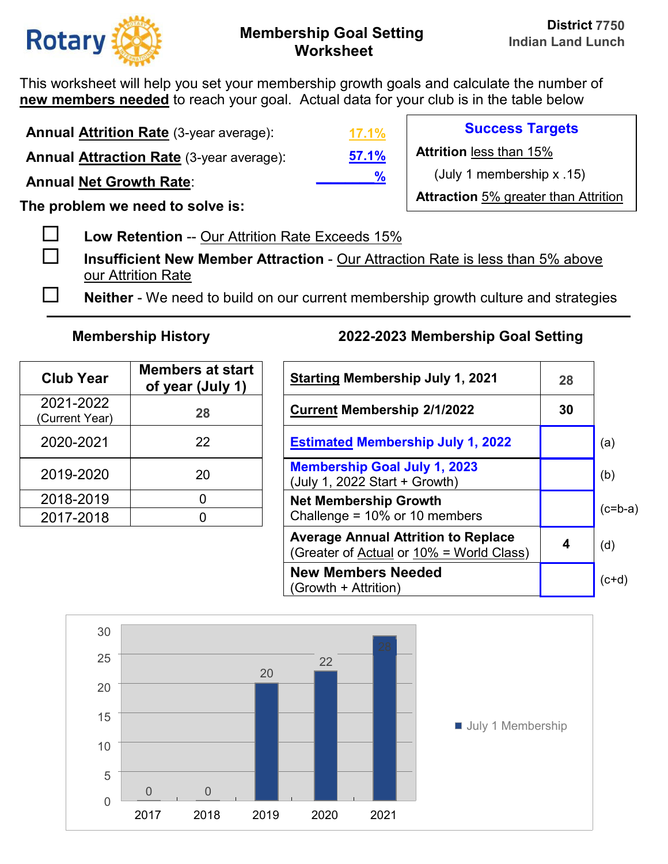

This worksheet will help you set your membership growth goals and calculate the number of **new members needed** to reach your goal. Actual data for your club is in the table below

**Annual Attrition Rate** (3-year average):

**Annual Attraction Rate** (3-year average):

**Annual Net Growth Rate**:

**The problem we need to solve is:** 

**Low Retention** -- Our Attrition Rate Exceeds 15%

 **Insufficient New Member Attraction** - Our Attraction Rate is less than 5% above our Attrition Rate

**Neither** - We need to build on our current membership growth culture and strategies

| <b>Club Year</b>            | <b>Members at start</b><br>of year (July 1) | <b>Starting Membership July 1, 2</b>                                 |
|-----------------------------|---------------------------------------------|----------------------------------------------------------------------|
| 2021-2022<br>(Current Year) | 28                                          | <b>Current Membership 2/1/2022</b>                                   |
| 2020-2021                   | 22                                          | <b>Estimated Membership July 1,</b>                                  |
| 2019-2020                   | 20                                          | <b>Membership Goal July 1, 2023</b><br>(July 1, 2022 Start + Growth) |
| 2018-2019                   |                                             | <b>Net Membership Growth</b>                                         |
| 2017-2018                   |                                             | Challenge = 10% or 10 members                                        |

## **Membership History 2022-2023 Membership Goal Setting**

| <b>Club Year</b>           | <b>Members at start</b><br>of year (July 1) | <b>Starting Membership July 1, 2021</b>                                                | 28 |           |
|----------------------------|---------------------------------------------|----------------------------------------------------------------------------------------|----|-----------|
| 2021-2022<br>Current Year) | 28                                          | <b>Current Membership 2/1/2022</b>                                                     | 30 |           |
| 2020-2021                  | 22                                          | <b>Estimated Membership July 1, 2022</b>                                               |    | (a)       |
| 2019-2020                  | 20                                          | <b>Membership Goal July 1, 2023</b><br>(July 1, 2022 Start + Growth)                   |    | (b)       |
| 2018-2019                  | 0                                           | <b>Net Membership Growth</b>                                                           |    | $(c=b-a)$ |
| 2017-2018                  | 0                                           | Challenge = $10\%$ or 10 members                                                       |    |           |
|                            |                                             | <b>Average Annual Attrition to Replace</b><br>(Greater of Actual or 10% = World Class) | 4  | (d)       |
|                            |                                             | <b>New Members Needed</b><br>(Growth + Attrition)                                      |    | $(c+d)$   |



**57.1% 17.1%**

**\_\_\_\_\_\_\_\_%**

**Success Targets** 

**Attrition** less than 15%

(July 1 membership x .15)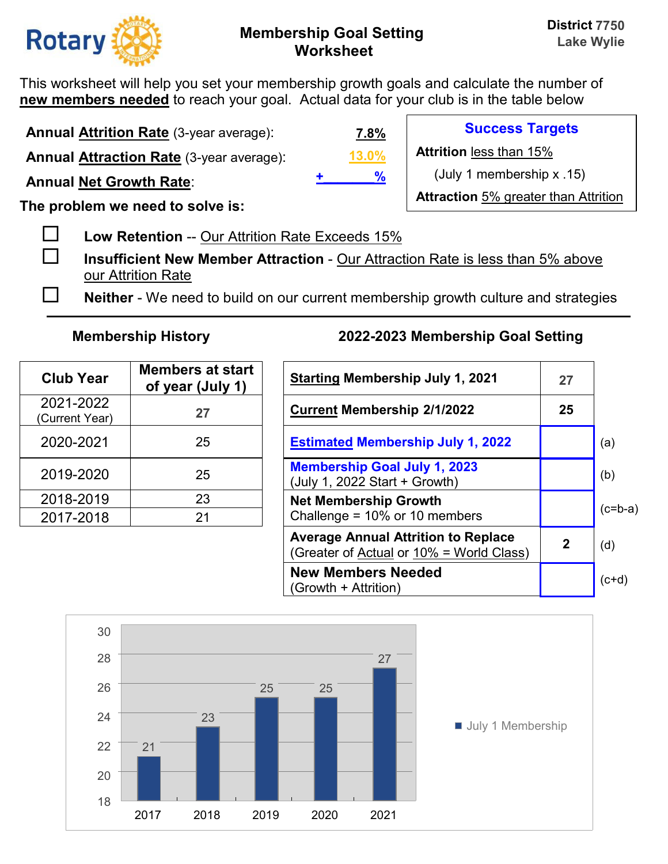

**Success Targets** 

(July 1 membership x .15)

**Attraction** 5% greater than Attrition

**Attrition** less than 15%

This worksheet will help you set your membership growth goals and calculate the number of **new members needed** to reach your goal. Actual data for your club is in the table below

**Annual Attrition Rate** (3-year average):

**Annual Attraction Rate** (3-year average):

**Annual Net Growth Rate**:

**The problem we need to solve is:** 

**Low Retention** -- Our Attrition Rate Exceeds 15%

 **Insufficient New Member Attraction** - Our Attraction Rate is less than 5% above our Attrition Rate

**Neither** - We need to build on our current membership growth culture and strategies

**13.0%**

**+\_\_\_\_\_\_\_%**

**7.8%**

| <b>Club Year</b>            | <b>Members at start</b><br>of year (July 1) | <b>Starting Membership July 1, 20</b>                                |
|-----------------------------|---------------------------------------------|----------------------------------------------------------------------|
| 2021-2022<br>(Current Year) | 27                                          | <b>Current Membership 2/1/2022</b>                                   |
| 2020-2021                   | 25                                          | <b>Estimated Membership July 1,</b>                                  |
| 2019-2020                   | 25                                          | <b>Membership Goal July 1, 2023</b><br>(July 1, 2022 Start + Growth) |
| 2018-2019                   | 23                                          | <b>Net Membership Growth</b>                                         |
| 2017-2018                   | 21                                          | Challenge = 10% or 10 members                                        |

| <b>Club Year</b>           | <b>Members at start</b><br>of year (July 1) | <b>Starting Membership July 1, 2021</b>                                                | 27           |           |
|----------------------------|---------------------------------------------|----------------------------------------------------------------------------------------|--------------|-----------|
| 2021-2022<br>Current Year) | 27                                          | <b>Current Membership 2/1/2022</b>                                                     | 25           |           |
| 2020-2021                  | 25                                          | <b>Estimated Membership July 1, 2022</b>                                               |              | (a)       |
| 2019-2020                  | 25                                          | <b>Membership Goal July 1, 2023</b><br>(July 1, 2022 Start + Growth)                   |              | (b)       |
| 2018-2019                  | 23                                          | <b>Net Membership Growth</b>                                                           |              |           |
| 2017-2018                  | 21                                          | Challenge = $10\%$ or 10 members                                                       |              | $(c=b-a)$ |
|                            |                                             | <b>Average Annual Attrition to Replace</b><br>(Greater of Actual or 10% = World Class) | $\mathbf{2}$ | (d)       |
|                            |                                             | <b>New Members Needed</b><br>(Growth + Attrition)                                      |              | $(c+d)$   |

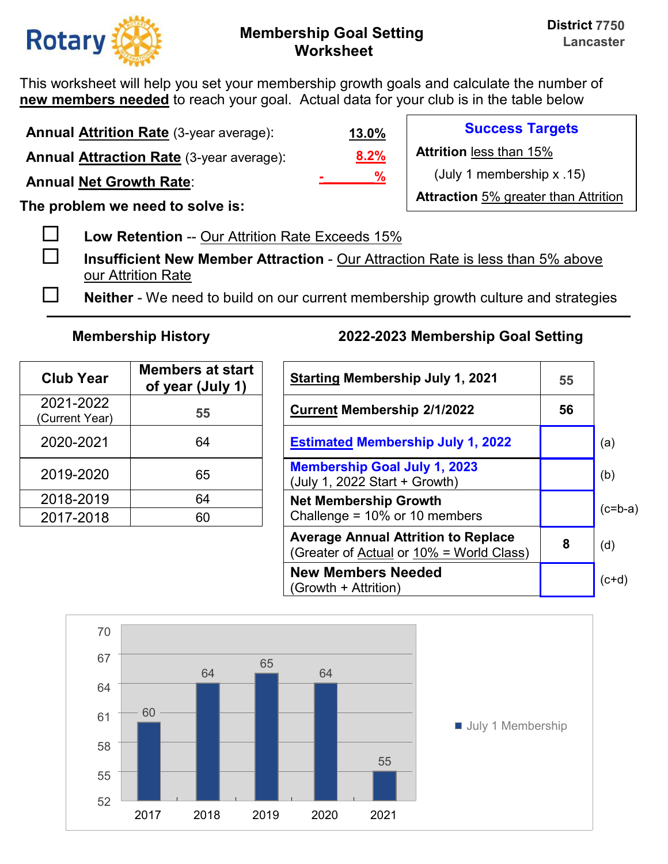

This worksheet will help you set your membership growth goals and calculate the number of **new members needed** to reach your goal. Actual data for your club is in the table below

**Annual Attrition Rate** (3-year average): **Annual Attraction Rate** (3-year average):

**Annual Net Growth Rate**:

**The problem we need to solve is:** 

**Low Retention** -- Our Attrition Rate Exceeds 15%

 **Insufficient New Member Attraction** - Our Attraction Rate is less than 5% above our Attrition Rate

**Neither** - We need to build on our current membership growth culture and strategies

| <b>Club Year</b>            | <b>Members at start</b><br>of year (July 1) | <b>Starting Membership July 1, 20</b>                                |
|-----------------------------|---------------------------------------------|----------------------------------------------------------------------|
| 2021-2022<br>(Current Year) | 55                                          | <b>Current Membership 2/1/2022</b>                                   |
| 2020-2021                   | 64                                          | <b>Estimated Membership July 1,</b>                                  |
| 2019-2020                   | 65                                          | <b>Membership Goal July 1, 2023</b><br>(July 1, 2022 Start + Growth) |
| 2018-2019                   | 64                                          | <b>Net Membership Growth</b>                                         |
| 2017-2018                   | 60                                          | Challenge = 10% or 10 members                                        |

## **Membership History 2022-2023 Membership Goal Setting**

| <b>Club Year</b>           | <b>Members at start</b><br>of year (July 1) | <b>Starting Membership July 1, 2021</b>                                                | 55 |           |
|----------------------------|---------------------------------------------|----------------------------------------------------------------------------------------|----|-----------|
| 2021-2022<br>Current Year) | 55                                          | <b>Current Membership 2/1/2022</b>                                                     | 56 |           |
| 2020-2021                  | 64                                          | <b>Estimated Membership July 1, 2022</b>                                               |    | (a)       |
| 2019-2020                  | 65                                          | <b>Membership Goal July 1, 2023</b><br>(July 1, 2022 Start + Growth)                   |    | (b)       |
| 2018-2019                  | 64                                          | <b>Net Membership Growth</b>                                                           |    |           |
| 2017-2018                  | 60                                          | Challenge = $10\%$ or 10 members                                                       |    | $(c=b-a)$ |
|                            |                                             | <b>Average Annual Attrition to Replace</b><br>(Greater of Actual or 10% = World Class) | 8  | (d)       |
|                            |                                             | <b>New Members Needed</b><br>(Growth + Attrition)                                      |    | $(c+d)$   |



**8.2% 13.0% -\_\_\_\_\_\_\_%**

**Success Targets** 

**Attrition** less than 15%

(July 1 membership x .15)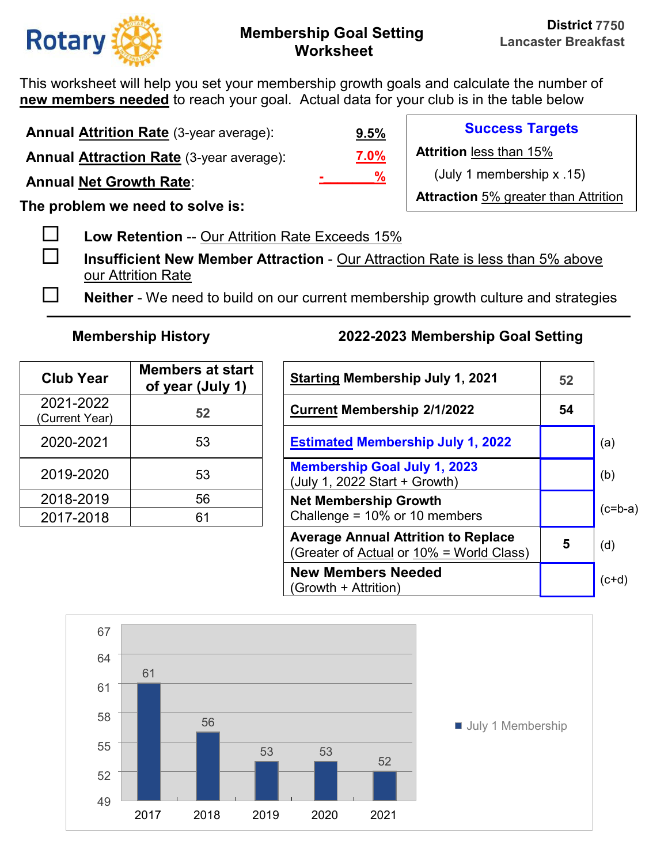

This worksheet will help you set your membership growth goals and calculate the number of **new members needed** to reach your goal. Actual data for your club is in the table below

**Annual Attrition Rate** (3-year average):

**Annual Attraction Rate** (3-year average):

**Annual Net Growth Rate**:

**The problem we need to solve is:** 

**Low Retention** -- Our Attrition Rate Exceeds 15%

 **Insufficient New Member Attraction** - Our Attraction Rate is less than 5% above our Attrition Rate

**Neither** - We need to build on our current membership growth culture and strategies

| <b>Club Year</b>            | <b>Members at start</b><br>of year (July 1) | <b>Starting Membership July 1, 20</b>                                |
|-----------------------------|---------------------------------------------|----------------------------------------------------------------------|
| 2021-2022<br>(Current Year) | 52                                          | <b>Current Membership 2/1/2022</b>                                   |
| 2020-2021                   | 53                                          | <b>Estimated Membership July 1,</b>                                  |
| 2019-2020                   | 53                                          | <b>Membership Goal July 1, 2023</b><br>(July 1, 2022 Start + Growth) |
| 2018-2019                   | 56                                          | <b>Net Membership Growth</b>                                         |
| 2017-2018                   | 61                                          | Challenge = 10% or 10 members                                        |

# **Membership History 2022-2023 Membership Goal Setting**

| <b>Club Year</b>           | <b>Members at start</b><br>of year (July 1) | <b>Starting Membership July 1, 2021</b>                                                | 52 |           |
|----------------------------|---------------------------------------------|----------------------------------------------------------------------------------------|----|-----------|
| 2021-2022<br>Current Year) | 52                                          | <b>Current Membership 2/1/2022</b>                                                     | 54 |           |
| 2020-2021                  | 53                                          | <b>Estimated Membership July 1, 2022</b>                                               |    | (a)       |
| 2019-2020                  | 53                                          | <b>Membership Goal July 1, 2023</b><br>(July 1, 2022 Start + Growth)                   |    | (b)       |
| 2018-2019                  | 56                                          | <b>Net Membership Growth</b>                                                           |    | $(c=b-a)$ |
| 2017-2018                  | 61                                          | Challenge = $10\%$ or 10 members                                                       |    |           |
|                            |                                             | <b>Average Annual Attrition to Replace</b><br>(Greater of Actual or 10% = World Class) | 5  | (d)       |
|                            |                                             | <b>New Members Needed</b><br>(Growth + Attrition)                                      |    | $(c+d)$   |



## **7.0% 9.5% -\_\_\_\_\_\_\_%**

**Success Targets** 

**Attrition** less than 15%

(July 1 membership x .15)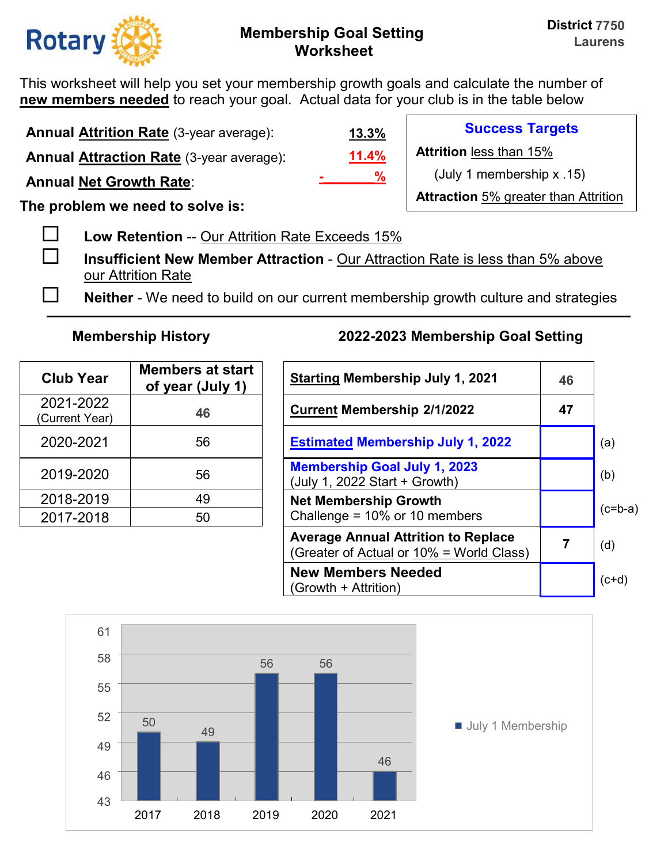

This worksheet will help you set your membership growth goals and calculate the number of **new members needed** to reach your goal. Actual data for your club is in the table below

**Annual Attrition Rate** (3-year average): **Annual Attraction Rate** (3-year average):

**Annual Net Growth Rate**:

**The problem we need to solve is:** 

**Low Retention** -- Our Attrition Rate Exceeds 15%

 **Insufficient New Member Attraction** - Our Attraction Rate is less than 5% above our Attrition Rate

**Neither** - We need to build on our current membership growth culture and strategies

| <b>Club Year</b>            | <b>Members at start</b><br>of year (July 1) | <b>Starting Membership July 1, 20</b>                                |
|-----------------------------|---------------------------------------------|----------------------------------------------------------------------|
| 2021-2022<br>(Current Year) | 46                                          | <b>Current Membership 2/1/2022</b>                                   |
| 2020-2021                   | 56                                          | <b>Estimated Membership July 1,</b>                                  |
| 2019-2020                   | 56                                          | <b>Membership Goal July 1, 2023</b><br>(July 1, 2022 Start + Growth) |
| 2018-2019                   | 49                                          | <b>Net Membership Growth</b>                                         |
| 2017-2018                   | 50                                          | Challenge = 10% or 10 members                                        |

## **Membership History 2022-2023 Membership Goal Setting**

| <b>Club Year</b>           | <b>Members at start</b><br>of year (July 1) | <b>Starting Membership July 1, 2021</b>                                                | 46 |           |
|----------------------------|---------------------------------------------|----------------------------------------------------------------------------------------|----|-----------|
| 2021-2022<br>Current Year) | 46                                          | <b>Current Membership 2/1/2022</b>                                                     | 47 |           |
| 2020-2021                  | 56                                          | <b>Estimated Membership July 1, 2022</b>                                               |    | (a)       |
| 2019-2020                  | 56                                          | <b>Membership Goal July 1, 2023</b><br>(July 1, 2022 Start + Growth)                   |    | (b)       |
| 2018-2019                  | 49                                          | <b>Net Membership Growth</b>                                                           |    | $(c=b-a)$ |
| 2017-2018                  | 50                                          | Challenge = $10\%$ or 10 members                                                       |    |           |
|                            |                                             | <b>Average Annual Attrition to Replace</b><br>(Greater of Actual or 10% = World Class) |    | (d)       |
|                            |                                             | <b>New Members Needed</b><br>(Growth + Attrition)                                      |    | $(c+d)$   |



**11.4% 13.3% -\_\_\_\_\_\_\_%**

**Success Targets** 

**Attrition** less than 15%

(July 1 membership x .15)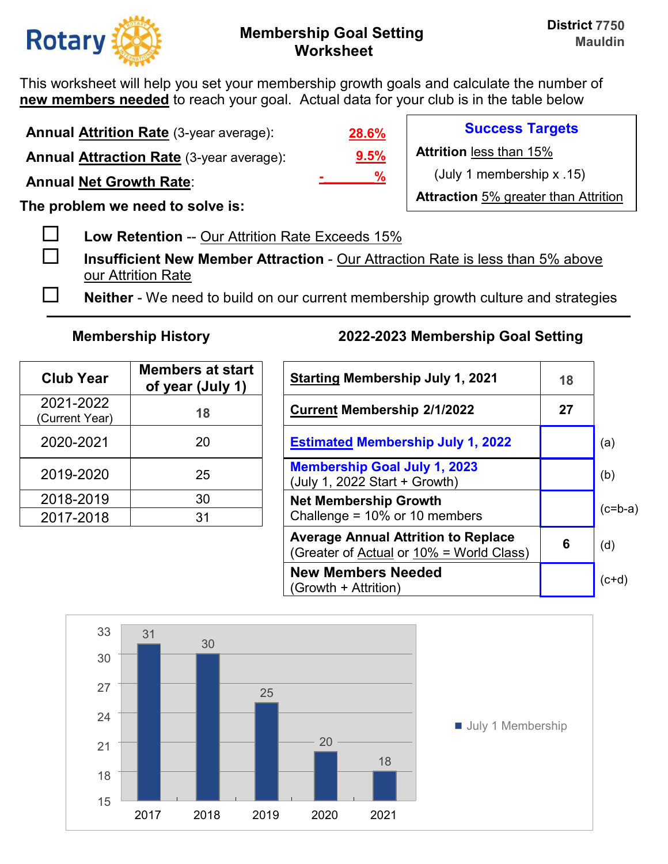

This worksheet will help you set your membership growth goals and calculate the number of **new members needed** to reach your goal. Actual data for your club is in the table below

**Annual Attrition Rate** (3-year average):

**Annual Attraction Rate** (3-year average):

**Annual Net Growth Rate**:

**The problem we need to solve is:** 

**Low Retention** -- Our Attrition Rate Exceeds 15%

 **Insufficient New Member Attraction** - Our Attraction Rate is less than 5% above our Attrition Rate

**Neither** - We need to build on our current membership growth culture and strategies

| <b>Club Year</b>            | <b>Members at start</b><br>of year (July 1) | <b>Starting Membership July 1, 20</b>                                |
|-----------------------------|---------------------------------------------|----------------------------------------------------------------------|
| 2021-2022<br>(Current Year) | 18                                          | <b>Current Membership 2/1/2022</b>                                   |
| 2020-2021                   | 20                                          | <b>Estimated Membership July 1,</b>                                  |
| 2019-2020                   | 25                                          | <b>Membership Goal July 1, 2023</b><br>(July 1, 2022 Start + Growth) |
| 2018-2019                   | 30                                          | <b>Net Membership Growth</b>                                         |
| 2017-2018                   | 31                                          | Challenge = 10% or 10 members                                        |

## **Membership History 2022-2023 Membership Goal Setting**

| <b>Club Year</b>           | <b>Members at start</b><br>of year (July 1) | <b>Starting Membership July 1, 2021</b>                                                | 18 |           |
|----------------------------|---------------------------------------------|----------------------------------------------------------------------------------------|----|-----------|
| 2021-2022<br>Current Year) | 18                                          | <b>Current Membership 2/1/2022</b>                                                     | 27 |           |
| 2020-2021                  | 20                                          | <b>Estimated Membership July 1, 2022</b>                                               |    | (a)       |
| 2019-2020                  | 25                                          | <b>Membership Goal July 1, 2023</b><br>(July 1, 2022 Start + Growth)                   |    | (b)       |
| 2018-2019                  | 30                                          | <b>Net Membership Growth</b>                                                           |    | $(c=b-a)$ |
| 2017-2018                  | 31                                          | Challenge = $10\%$ or 10 members                                                       |    |           |
|                            |                                             | <b>Average Annual Attrition to Replace</b><br>(Greater of Actual or 10% = World Class) | 6  | (d)       |
|                            |                                             | <b>New Members Needed</b><br>(Growth + Attrition)                                      |    | $(c+d)$   |



**9.5% 28.6% -\_\_\_\_\_\_\_%** **Success Targets** 

**Attrition** less than 15%

(July 1 membership x .15)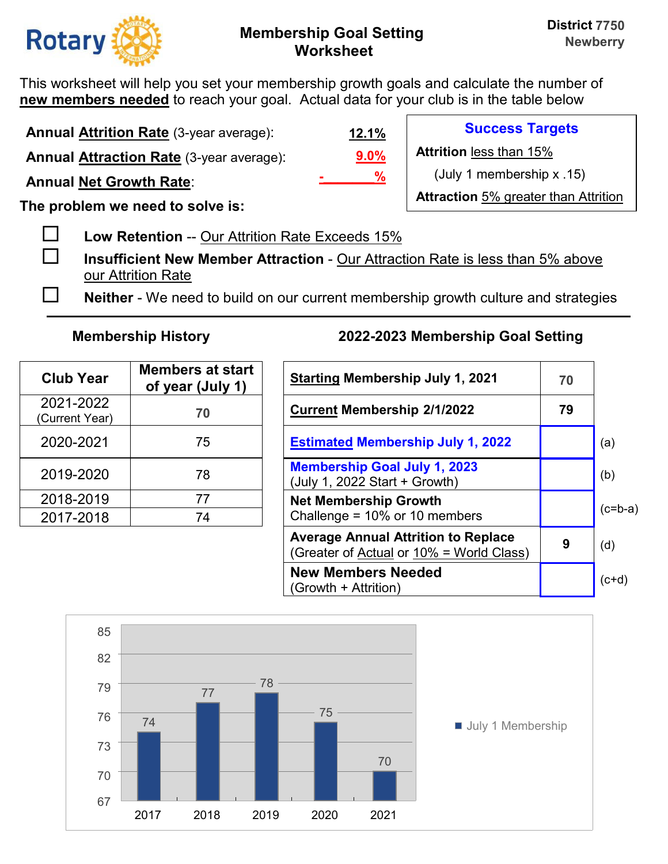

This worksheet will help you set your membership growth goals and calculate the number of **new members needed** to reach your goal. Actual data for your club is in the table below

**Annual Attrition Rate** (3-year average):

**Annual Attraction Rate** (3-year average):

**Annual Net Growth Rate**:

**The problem we need to solve is:** 

**Low Retention** -- Our Attrition Rate Exceeds 15%

 **Insufficient New Member Attraction** - Our Attraction Rate is less than 5% above our Attrition Rate

**Neither** - We need to build on our current membership growth culture and strategies

| <b>Club Year</b>            | <b>Members at start</b><br>of year (July 1) | <b>Starting Membership July 1, 2</b>                                 |
|-----------------------------|---------------------------------------------|----------------------------------------------------------------------|
| 2021-2022<br>(Current Year) | 70                                          | <b>Current Membership 2/1/2022</b>                                   |
| 2020-2021                   | 75                                          | <b>Estimated Membership July 1,</b>                                  |
| 2019-2020                   | 78                                          | <b>Membership Goal July 1, 2023</b><br>(July 1, 2022 Start + Growth) |
| 2018-2019                   | 77                                          | <b>Net Membership Growth</b>                                         |
| 2017-2018                   | 74                                          | Challenge = 10% or 10 members                                        |

## **Membership History 2022-2023 Membership Goal Setting**

| <b>Club Year</b>           | <b>Members at start</b><br>of year (July 1) | <b>Starting Membership July 1, 2021</b>                                                | 70 |           |
|----------------------------|---------------------------------------------|----------------------------------------------------------------------------------------|----|-----------|
| 2021-2022<br>Current Year) | 70                                          | <b>Current Membership 2/1/2022</b>                                                     | 79 |           |
| 2020-2021                  | 75                                          | <b>Estimated Membership July 1, 2022</b>                                               |    | (a)       |
| 2019-2020                  | 78                                          | <b>Membership Goal July 1, 2023</b><br>(July 1, 2022 Start + Growth)                   |    | (b)       |
| 2018-2019                  | 77                                          | <b>Net Membership Growth</b>                                                           |    | $(c=b-a)$ |
| 2017-2018                  | 74                                          | Challenge = $10\%$ or 10 members                                                       |    |           |
|                            |                                             | <b>Average Annual Attrition to Replace</b><br>(Greater of Actual or 10% = World Class) | 9  | (d)       |
|                            |                                             | <b>New Members Needed</b><br>(Growth + Attrition)                                      |    | $(c+d)$   |



**9.0% 12.1% -\_\_\_\_\_\_\_%**

**Success Targets** 

**Attrition** less than 15%

(July 1 membership x .15)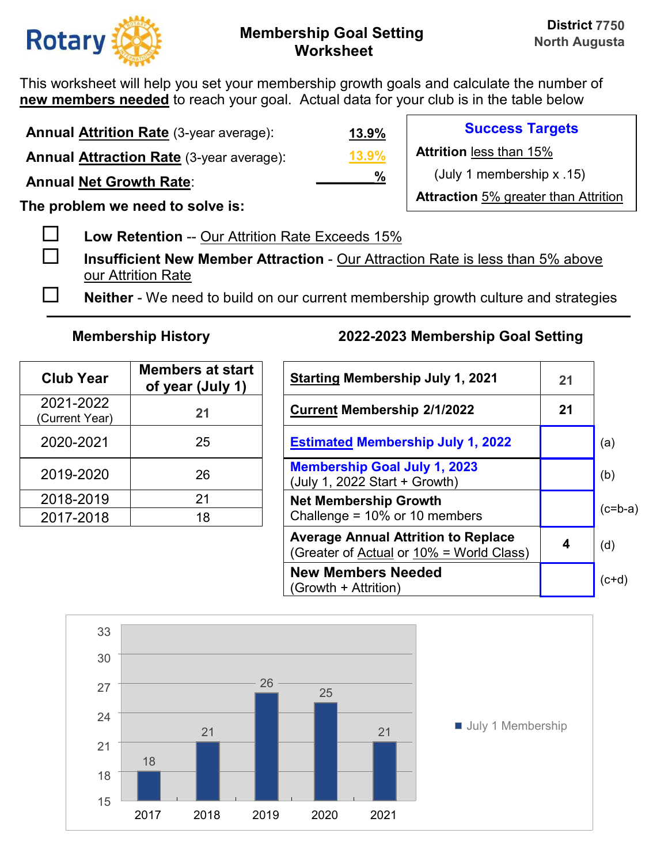

This worksheet will help you set your membership growth goals and calculate the number of **new members needed** to reach your goal. Actual data for your club is in the table below

| <b>Annual Attrition Rate (3-year average):</b>  | <u>13.9%</u>  | <b>Success Targets</b>                      |
|-------------------------------------------------|---------------|---------------------------------------------|
| <b>Annual Attraction Rate (3-year average):</b> | 13.9%         | <b>Attrition less than 15%</b>              |
| <b>Annual Net Growth Rate:</b>                  | $\frac{0}{0}$ | (July 1 membership $x$ .15)                 |
| The problem we need to solve is:                |               | <b>Attraction 5% greater than Attrition</b> |

- **Low Retention** -- Our Attrition Rate Exceeds 15%
- **Insufficient New Member Attraction** Our Attraction Rate is less than 5% above our Attrition Rate
- **Neither** We need to build on our current membership growth culture and strategies

| <b>Club Year</b>            | <b>Members at start</b><br>of year (July 1) | <b>Starting Membership July 1, 20</b>                                |
|-----------------------------|---------------------------------------------|----------------------------------------------------------------------|
| 2021-2022<br>(Current Year) | 21                                          | <b>Current Membership 2/1/2022</b>                                   |
| 2020-2021                   | 25                                          | <b>Estimated Membership July 1,</b>                                  |
| 2019-2020                   | 26                                          | <b>Membership Goal July 1, 2023</b><br>(July 1, 2022 Start + Growth) |
| 2018-2019                   | 21                                          | <b>Net Membership Growth</b>                                         |
| 2017-2018                   | 18                                          | Challenge = 10% or 10 members                                        |

| <b>Club Year</b>           | <b>Members at start</b><br>of year (July 1) | <b>Starting Membership July 1, 2021</b>                                                | 21 |           |
|----------------------------|---------------------------------------------|----------------------------------------------------------------------------------------|----|-----------|
| 2021-2022<br>Current Year) | 21                                          | <b>Current Membership 2/1/2022</b>                                                     | 21 |           |
| 2020-2021                  | 25                                          | <b>Estimated Membership July 1, 2022</b>                                               |    | (a)       |
| 2019-2020                  | 26                                          | <b>Membership Goal July 1, 2023</b><br>(July 1, 2022 Start + Growth)                   |    | (b)       |
| 2018-2019                  | 21                                          | <b>Net Membership Growth</b>                                                           |    | $(c=b-a)$ |
| 2017-2018                  | 18                                          | Challenge = $10\%$ or 10 members                                                       |    |           |
|                            |                                             | <b>Average Annual Attrition to Replace</b><br>(Greater of Actual or 10% = World Class) | 4  | (d)       |
|                            |                                             | <b>New Members Needed</b><br>(Growth + Attrition)                                      |    | $(c+d)$   |

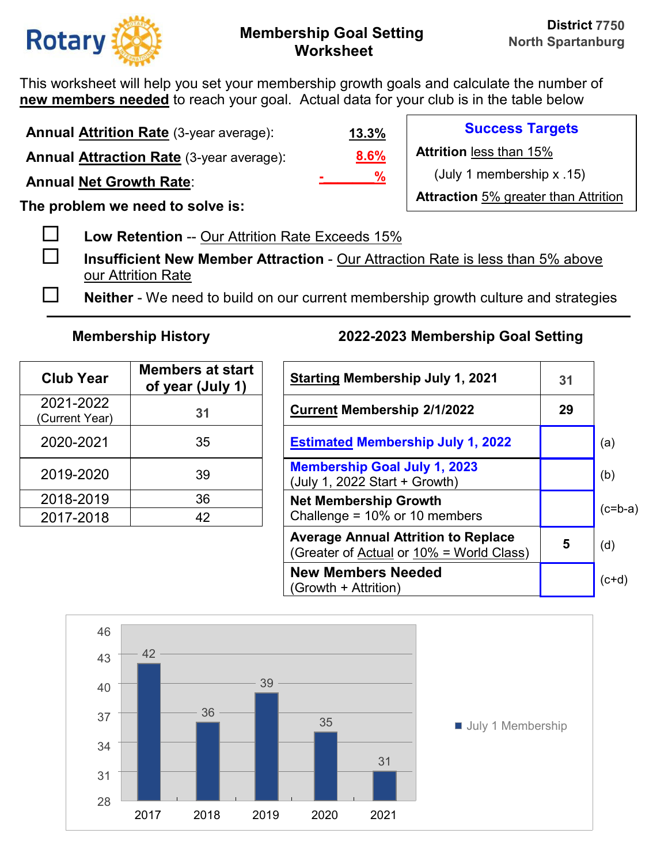

This worksheet will help you set your membership growth goals and calculate the number of **new members needed** to reach your goal. Actual data for your club is in the table below

**Annual Attrition Rate** (3-year average): **Annual Attraction Rate** (3-year average):

**Annual Net Growth Rate**:

**The problem we need to solve is:** 

**Low Retention** -- Our Attrition Rate Exceeds 15%

 **Insufficient New Member Attraction** - Our Attraction Rate is less than 5% above our Attrition Rate

**Neither** - We need to build on our current membership growth culture and strategies

| <b>Club Year</b>            | <b>Members at start</b><br>of year (July 1) | <b>Starting Membership July 1, 20</b>                                |
|-----------------------------|---------------------------------------------|----------------------------------------------------------------------|
| 2021-2022<br>(Current Year) | 31                                          | <b>Current Membership 2/1/2022</b>                                   |
| 2020-2021                   | 35                                          | <b>Estimated Membership July 1,</b>                                  |
| 2019-2020                   | 39                                          | <b>Membership Goal July 1, 2023</b><br>(July 1, 2022 Start + Growth) |
| 2018-2019                   | 36                                          | <b>Net Membership Growth</b>                                         |
| 2017-2018                   | 42                                          | Challenge = 10% or 10 members                                        |

## **Membership History 2022-2023 Membership Goal Setting**

| <b>Club Year</b>           | <b>Members at start</b><br>of year (July 1) | <b>Starting Membership July 1, 2021</b>                                                | 31 |           |
|----------------------------|---------------------------------------------|----------------------------------------------------------------------------------------|----|-----------|
| 2021-2022<br>Current Year) | 31                                          | <b>Current Membership 2/1/2022</b>                                                     | 29 |           |
| 2020-2021                  | 35                                          | <b>Estimated Membership July 1, 2022</b>                                               |    | (a)       |
| 2019-2020                  | 39                                          | <b>Membership Goal July 1, 2023</b><br>(July 1, 2022 Start + Growth)                   |    | (b)       |
| 2018-2019                  | 36                                          | <b>Net Membership Growth</b>                                                           |    | $(c=b-a)$ |
| 2017-2018                  | 42                                          | Challenge = $10\%$ or 10 members                                                       |    |           |
|                            |                                             | <b>Average Annual Attrition to Replace</b><br>(Greater of Actual or 10% = World Class) | 5  | (d)       |
|                            |                                             | <b>New Members Needed</b><br>(Growth + Attrition)                                      |    | $(c+d)$   |



**8.6% -\_\_\_\_\_\_\_%**

**13.3%**

**Success Targets Attrition** less than 15%

(July 1 membership x .15)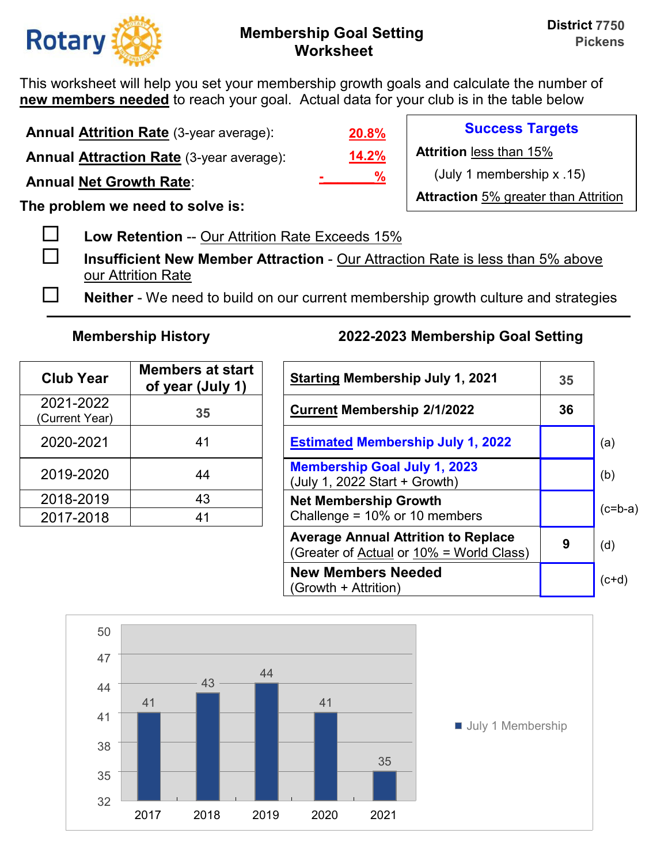

This worksheet will help you set your membership growth goals and calculate the number of **new members needed** to reach your goal. Actual data for your club is in the table below

**Annual Attrition Rate** (3-year average):

**Annual Attraction Rate** (3-year average):

**Annual Net Growth Rate**:

**The problem we need to solve is:** 

**Low Retention** -- Our Attrition Rate Exceeds 15%

 **Insufficient New Member Attraction** - Our Attraction Rate is less than 5% above our Attrition Rate

**Neither** - We need to build on our current membership growth culture and strategies

| <b>Club Year</b>            | <b>Members at start</b><br>of year (July 1) | <b>Starting Membership July 1, 20</b>                                |
|-----------------------------|---------------------------------------------|----------------------------------------------------------------------|
| 2021-2022<br>(Current Year) | 35                                          | <b>Current Membership 2/1/2022</b>                                   |
| 2020-2021                   | 41                                          | <b>Estimated Membership July 1,</b>                                  |
| 2019-2020                   | 44                                          | <b>Membership Goal July 1, 2023</b><br>(July 1, 2022 Start + Growth) |
| 2018-2019                   | 43                                          | <b>Net Membership Growth</b>                                         |
| 2017-2018                   | 41                                          | Challenge = 10% or 10 members                                        |

# **Membership History 2022-2023 Membership Goal Setting**

| <b>Club Year</b>           | <b>Members at start</b><br>of year (July 1) | <b>Starting Membership July 1, 2021</b>                                                | 35 |           |
|----------------------------|---------------------------------------------|----------------------------------------------------------------------------------------|----|-----------|
| 2021-2022<br>Current Year) | 35                                          | <b>Current Membership 2/1/2022</b>                                                     | 36 |           |
| 2020-2021                  | 41                                          | <b>Estimated Membership July 1, 2022</b>                                               |    | (a)       |
| 2019-2020                  | 44                                          | <b>Membership Goal July 1, 2023</b><br>(July 1, 2022 Start + Growth)                   |    | (b)       |
| 2018-2019                  | 43                                          | <b>Net Membership Growth</b>                                                           |    |           |
| 2017-2018                  | 41                                          | Challenge = $10\%$ or 10 members                                                       |    | $(c=b-a)$ |
|                            |                                             | <b>Average Annual Attrition to Replace</b><br>(Greater of Actual or 10% = World Class) | 9  | (d)       |
|                            |                                             | <b>New Members Needed</b><br>(Growth + Attrition)                                      |    | $(ct+d)$  |



**14.2% 20.8% -\_\_\_\_\_\_\_%**

**Success Targets** 

**Attrition** less than 15%

(July 1 membership x .15)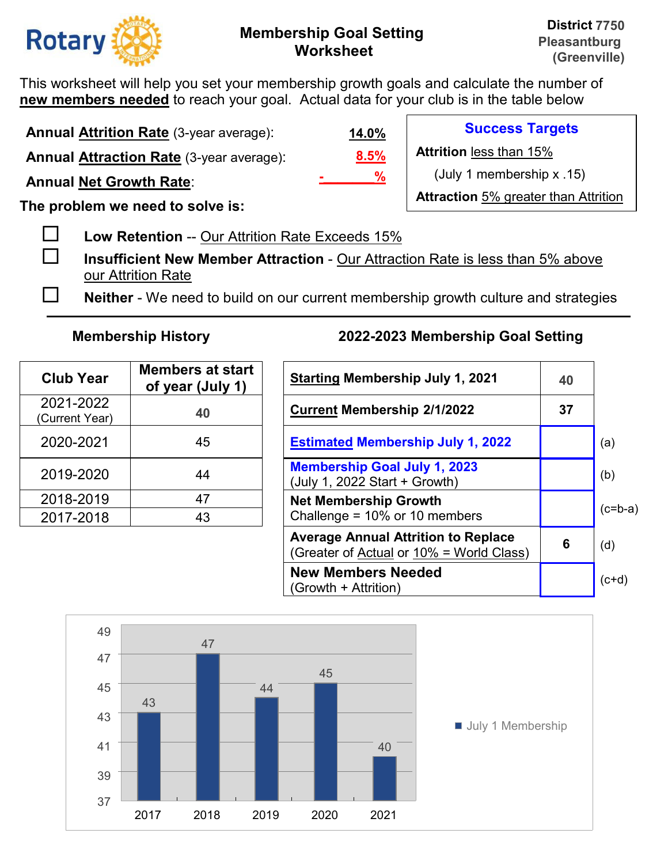

This worksheet will help you set your membership growth goals and calculate the number of **new members needed** to reach your goal. Actual data for your club is in the table below

**Annual Attrition Rate** (3-year average):

**Annual Attraction Rate** (3-year average):

**Annual Net Growth Rate**:

**The problem we need to solve is:** 

**Low Retention** -- Our Attrition Rate Exceeds 15%

 **Insufficient New Member Attraction** - Our Attraction Rate is less than 5% above our Attrition Rate

**Neither** - We need to build on our current membership growth culture and strategies

| <b>Club Year</b>            | <b>Members at start</b><br>of year (July 1) | <b>Starting Membership July 1, 20</b>                                |
|-----------------------------|---------------------------------------------|----------------------------------------------------------------------|
| 2021-2022<br>(Current Year) | 40                                          | <b>Current Membership 2/1/2022</b>                                   |
| 2020-2021                   | 45                                          | <b>Estimated Membership July 1,</b>                                  |
| 2019-2020                   | 44                                          | <b>Membership Goal July 1, 2023</b><br>(July 1, 2022 Start + Growth) |
| 2018-2019                   | 47                                          | <b>Net Membership Growth</b>                                         |
| 2017-2018                   | 43                                          | Challenge = 10% or 10 members                                        |

# **Membership History 2022-2023 Membership Goal Setting**

| <b>Club Year</b>           | <b>Members at start</b><br>of year (July 1) | <b>Starting Membership July 1, 2021</b>                                                | 40 |           |
|----------------------------|---------------------------------------------|----------------------------------------------------------------------------------------|----|-----------|
| 2021-2022<br>Current Year) | 40                                          | <b>Current Membership 2/1/2022</b>                                                     | 37 |           |
| 2020-2021                  | 45                                          | <b>Estimated Membership July 1, 2022</b>                                               |    | (a)       |
| 2019-2020                  | 44                                          | <b>Membership Goal July 1, 2023</b><br>(July 1, 2022 Start + Growth)                   |    | (b)       |
| 2018-2019                  | 47                                          | <b>Net Membership Growth</b>                                                           |    |           |
| 2017-2018                  | 43                                          | Challenge = $10\%$ or 10 members                                                       |    | $(c=b-a)$ |
|                            |                                             | <b>Average Annual Attrition to Replace</b><br>(Greater of Actual or 10% = World Class) | 6  | (d)       |
|                            |                                             | <b>New Members Needed</b><br>(Growth + Attrition)                                      |    | $(ct+d)$  |



**8.5% 14.0% -\_\_\_\_\_\_\_%**

**Success Targets Attrition** less than 15%

(July 1 membership x .15)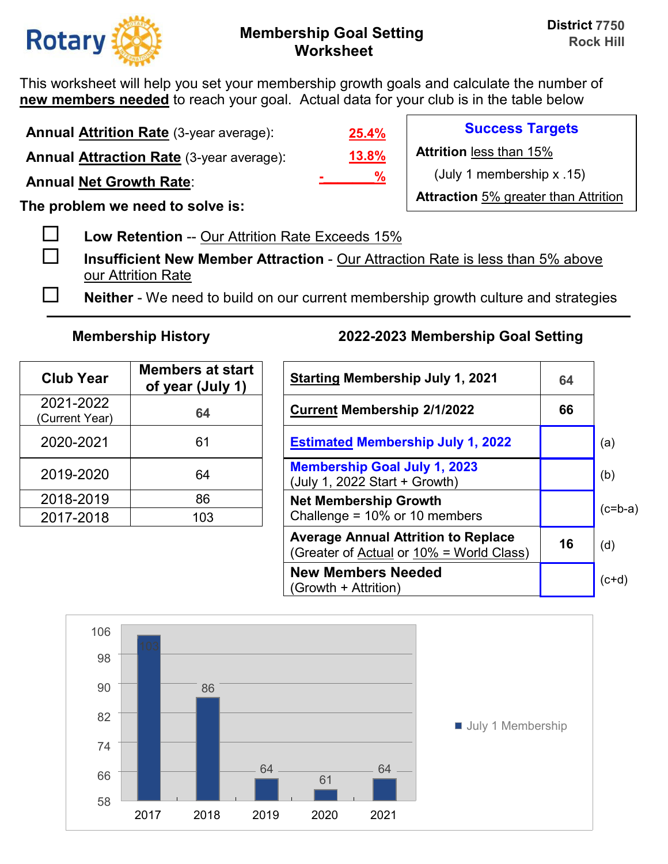

This worksheet will help you set your membership growth goals and calculate the number of **new members needed** to reach your goal. Actual data for your club is in the table below

**Annual Attrition Rate** (3-year average):

**Annual Attraction Rate** (3-year average):

**Annual Net Growth Rate**:

**The problem we need to solve is:** 

**Low Retention** -- Our Attrition Rate Exceeds 15%

 **Insufficient New Member Attraction** - Our Attraction Rate is less than 5% above our Attrition Rate

**Neither** - We need to build on our current membership growth culture and strategies

| <b>Club Year</b>            | <b>Members at start</b><br>of year (July 1) | <b>Starting Membership July 1, 20</b>                                |
|-----------------------------|---------------------------------------------|----------------------------------------------------------------------|
| 2021-2022<br>(Current Year) | 64                                          | <b>Current Membership 2/1/2022</b>                                   |
| 2020-2021                   | 61                                          | <b>Estimated Membership July 1,</b>                                  |
| 2019-2020                   | 64                                          | <b>Membership Goal July 1, 2023</b><br>(July 1, 2022 Start + Growth) |
| 2018-2019                   | 86                                          | <b>Net Membership Growth</b>                                         |
| 2017-2018                   | 103                                         | Challenge = 10% or 10 members                                        |

## **Membership History 2022-2023 Membership Goal Setting**

| <b>Club Year</b>           | <b>Members at start</b><br>of year (July 1) | <b>Starting Membership July 1, 2021</b>                                                | 64 |           |
|----------------------------|---------------------------------------------|----------------------------------------------------------------------------------------|----|-----------|
| 2021-2022<br>Current Year) | 64                                          | <b>Current Membership 2/1/2022</b>                                                     | 66 |           |
| 2020-2021                  | 61                                          | <b>Estimated Membership July 1, 2022</b>                                               |    | (a)       |
| 2019-2020                  | 64                                          | <b>Membership Goal July 1, 2023</b><br>(July 1, 2022 Start + Growth)                   |    | (b)       |
| 2018-2019                  | 86                                          | <b>Net Membership Growth</b>                                                           |    | $(c=b-a)$ |
| 2017-2018                  | 103                                         | Challenge = $10\%$ or 10 members                                                       |    |           |
|                            |                                             | <b>Average Annual Attrition to Replace</b><br>(Greater of Actual or 10% = World Class) | 16 | (d)       |
|                            |                                             | <b>New Members Needed</b><br>(Growth + Attrition)                                      |    | $(c+d)$   |



**13.8% 25.4% -\_\_\_\_\_\_\_%**

**Success Targets** 

**Attrition** less than 15%

(July 1 membership x .15)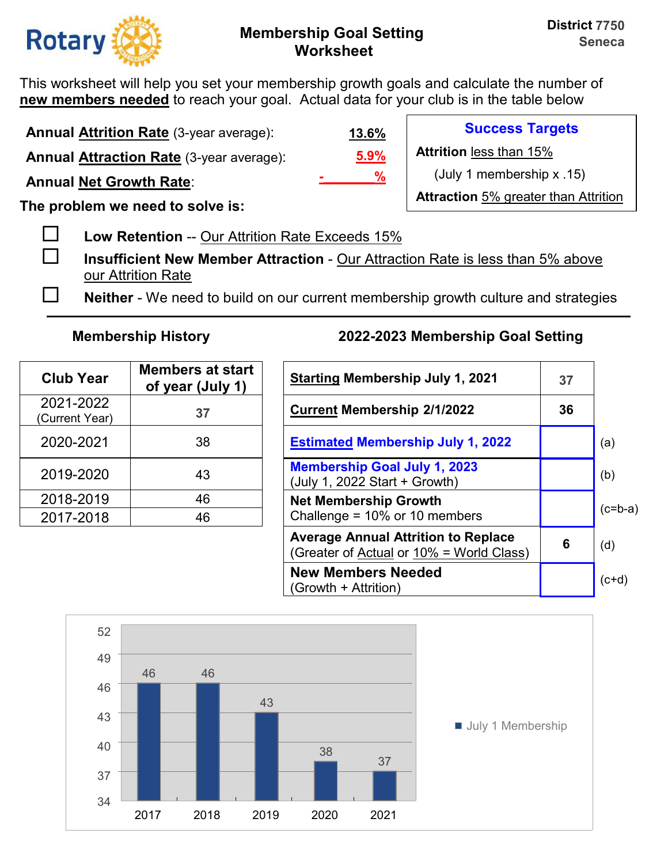

This worksheet will help you set your membership growth goals and calculate the number of **new members needed** to reach your goal. Actual data for your club is in the table below

**Annual Attrition Rate** (3-year average): **Annual Attraction Rate** (3-year average):

**Annual Net Growth Rate**:

**The problem we need to solve is:** 

**Low Retention** -- Our Attrition Rate Exceeds 15%

 **Insufficient New Member Attraction** - Our Attraction Rate is less than 5% above our Attrition Rate

**Neither** - We need to build on our current membership growth culture and strategies

| <b>Club Year</b>            | <b>Members at start</b><br>of year (July 1) | <b>Starting Membership July 1, 20</b>                                |
|-----------------------------|---------------------------------------------|----------------------------------------------------------------------|
| 2021-2022<br>(Current Year) | 37                                          | <b>Current Membership 2/1/2022</b>                                   |
| 2020-2021                   | 38                                          | <b>Estimated Membership July 1,</b>                                  |
| 2019-2020                   | 43                                          | <b>Membership Goal July 1, 2023</b><br>(July 1, 2022 Start + Growth) |
| 2018-2019                   | 46                                          | <b>Net Membership Growth</b>                                         |
| 2017-2018                   | 46                                          | Challenge = 10% or 10 members                                        |

# **Membership History 2022-2023 Membership Goal Setting**

| <b>Club Year</b>           | <b>Members at start</b><br>of year (July 1) | <b>Starting Membership July 1, 2021</b>                                                | 37 |           |
|----------------------------|---------------------------------------------|----------------------------------------------------------------------------------------|----|-----------|
| 2021-2022<br>Current Year) | 37                                          | <b>Current Membership 2/1/2022</b>                                                     | 36 |           |
| 2020-2021                  | 38                                          | <b>Estimated Membership July 1, 2022</b>                                               |    | (a)       |
| 2019-2020                  | 43                                          | <b>Membership Goal July 1, 2023</b><br>(July 1, 2022 Start + Growth)                   |    | (b)       |
| 2018-2019                  | 46                                          | <b>Net Membership Growth</b>                                                           |    |           |
| 2017-2018                  | 46                                          | Challenge = $10\%$ or 10 members                                                       |    | $(c=b-a)$ |
|                            |                                             | <b>Average Annual Attrition to Replace</b><br>(Greater of Actual or 10% = World Class) | 6  | (d)       |
|                            |                                             | <b>New Members Needed</b><br>(Growth + Attrition)                                      |    | $(ct+d)$  |



**5.9% 13.6% -\_\_\_\_\_\_\_%**

**Success Targets** 

**Attrition** less than 15%

(July 1 membership x .15)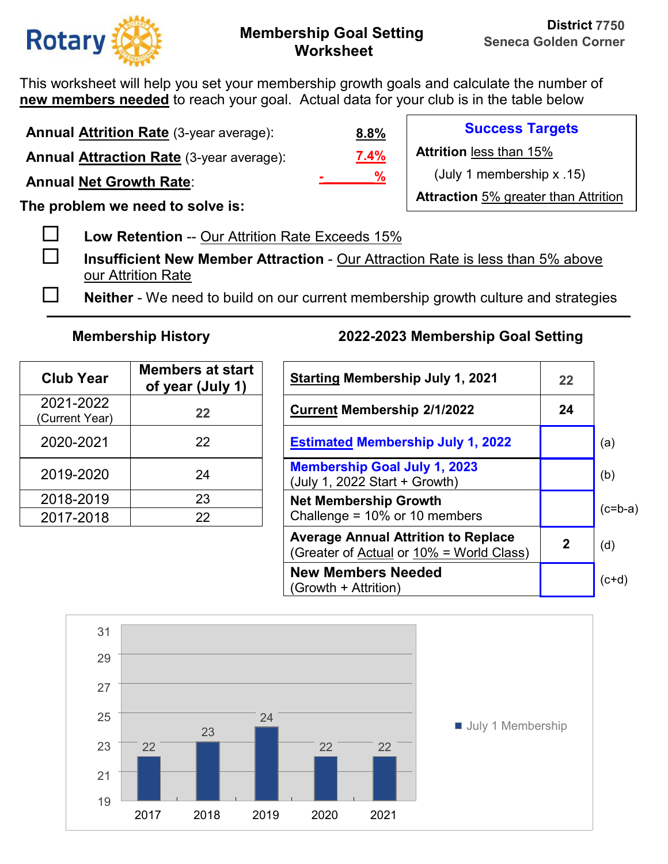

This worksheet will help you set your membership growth goals and calculate the number of **new members needed** to reach your goal. Actual data for your club is in the table below

**Annual Attrition Rate** (3-year average): **Annual Attraction Rate** (3-year average):

**Annual Net Growth Rate**:

**The problem we need to solve is:** 

**Low Retention** -- Our Attrition Rate Exceeds 15%

 **Insufficient New Member Attraction** - Our Attraction Rate is less than 5% above our Attrition Rate

**Neither** - We need to build on our current membership growth culture and strategies

| <b>Club Year</b>            | <b>Members at start</b><br>of year (July 1) | <b>Starting Membership July 1, 20</b>                                |
|-----------------------------|---------------------------------------------|----------------------------------------------------------------------|
| 2021-2022<br>(Current Year) | 22                                          | <b>Current Membership 2/1/2022</b>                                   |
| 2020-2021                   | 22                                          | <b>Estimated Membership July 1,</b>                                  |
| 2019-2020                   | 24                                          | <b>Membership Goal July 1, 2023</b><br>(July 1, 2022 Start + Growth) |
| 2018-2019                   | 23                                          | <b>Net Membership Growth</b>                                         |
| 2017-2018                   | 22                                          | Challenge = 10% or 10 members                                        |

## **Membership History 2022-2023 Membership Goal Setting**

| <b>Club Year</b>           | <b>Members at start</b><br>of year (July 1) | <b>Starting Membership July 1, 2021</b>                                                | 22           |           |
|----------------------------|---------------------------------------------|----------------------------------------------------------------------------------------|--------------|-----------|
| 2021-2022<br>Current Year) | 22                                          | <b>Current Membership 2/1/2022</b>                                                     | 24           |           |
| 2020-2021                  | 22                                          | <b>Estimated Membership July 1, 2022</b>                                               |              | (a)       |
| 2019-2020                  | 24                                          | <b>Membership Goal July 1, 2023</b><br>(July 1, 2022 Start + Growth)                   |              | (b)       |
| 2018-2019                  | 23                                          | <b>Net Membership Growth</b>                                                           |              | $(c=b-a)$ |
| 2017-2018                  | 22                                          | Challenge = $10\%$ or 10 members                                                       |              |           |
|                            |                                             | <b>Average Annual Attrition to Replace</b><br>(Greater of Actual or 10% = World Class) | $\mathbf{2}$ | (d)       |
|                            |                                             | <b>New Members Needed</b><br>(Growth + Attrition)                                      |              | $(c+d)$   |



**7.4% 8.8% -\_\_\_\_\_\_\_%**

**Success Targets** 

**Attrition** less than 15%

(July 1 membership x .15)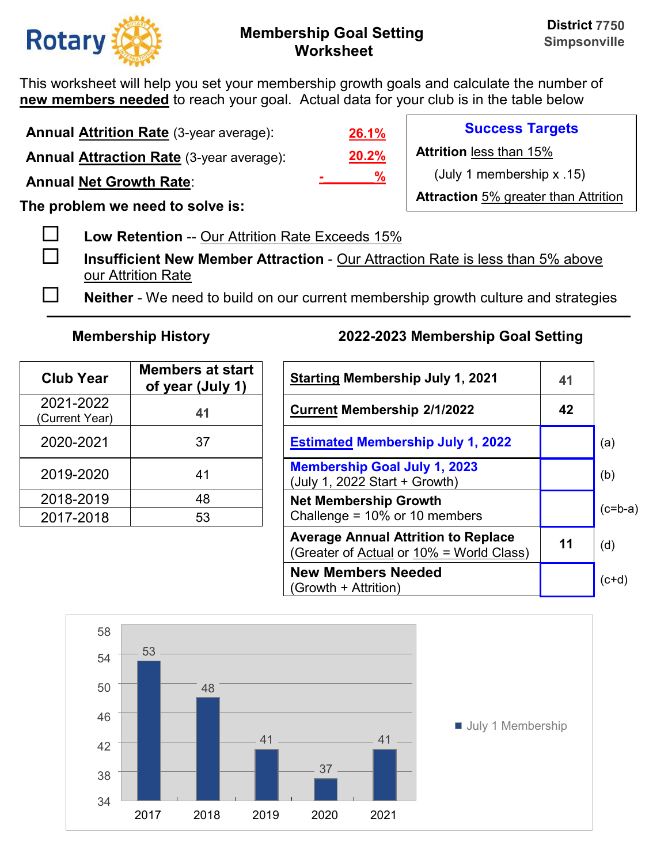

This worksheet will help you set your membership growth goals and calculate the number of **new members needed** to reach your goal. Actual data for your club is in the table below

**Annual Attrition Rate** (3-year average):

**Annual Attraction Rate** (3-year average):

**Annual Net Growth Rate**:

**The problem we need to solve is:** 

**Low Retention** -- Our Attrition Rate Exceeds 15%

 **Insufficient New Member Attraction** - Our Attraction Rate is less than 5% above our Attrition Rate

**Neither** - We need to build on our current membership growth culture and strategies

| <b>Club Year</b>            | <b>Members at start</b><br>of year (July 1) | <b>Starting Membership July 1, 20</b>                                |
|-----------------------------|---------------------------------------------|----------------------------------------------------------------------|
| 2021-2022<br>(Current Year) | 41                                          | <b>Current Membership 2/1/2022</b>                                   |
| 2020-2021                   | 37                                          | <b>Estimated Membership July 1,</b>                                  |
| 2019-2020                   | 41                                          | <b>Membership Goal July 1, 2023</b><br>(July 1, 2022 Start + Growth) |
| 2018-2019                   | 48                                          | <b>Net Membership Growth</b>                                         |
| 2017-2018                   | 53                                          | Challenge = 10% or 10 members                                        |

## **Membership History 2022-2023 Membership Goal Setting**

| <b>Club Year</b>           | <b>Members at start</b><br>of year (July 1) | <b>Starting Membership July 1, 2021</b>                                                |    |           |
|----------------------------|---------------------------------------------|----------------------------------------------------------------------------------------|----|-----------|
| 2021-2022<br>Current Year) | 41                                          | <b>Current Membership 2/1/2022</b>                                                     | 42 |           |
| 2020-2021                  | 37                                          | <b>Estimated Membership July 1, 2022</b>                                               |    | (a)       |
| 2019-2020                  | 41                                          | <b>Membership Goal July 1, 2023</b><br>(July 1, 2022 Start + Growth)                   |    | (b)       |
| 2018-2019                  | 48                                          | <b>Net Membership Growth</b>                                                           |    | $(c=b-a)$ |
| 2017-2018                  | 53                                          | Challenge = $10\%$ or 10 members                                                       |    |           |
|                            |                                             | <b>Average Annual Attrition to Replace</b><br>(Greater of Actual or 10% = World Class) | 11 | (d)       |
|                            |                                             | <b>New Members Needed</b><br>(Growth + Attrition)                                      |    | $(c+d)$   |



**20.2% 26.1% -\_\_\_\_\_\_\_%**

**Success Targets** 

**Attrition** less than 15%

(July 1 membership x .15)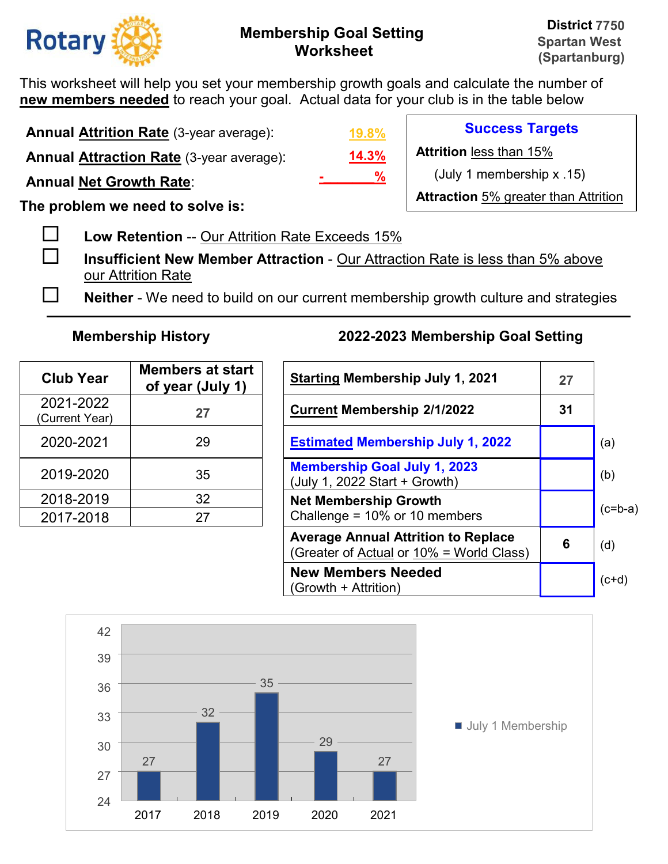

This worksheet will help you set your membership growth goals and calculate the number of **new members needed** to reach your goal. Actual data for your club is in the table below

**Annual Attrition Rate** (3-year average):

**Annual Attraction Rate** (3-year average):

**Annual Net Growth Rate**:

**The problem we need to solve is:** 

**Low Retention** -- Our Attrition Rate Exceeds 15%

 **Insufficient New Member Attraction** - Our Attraction Rate is less than 5% above our Attrition Rate

**Neither** - We need to build on our current membership growth culture and strategies

| <b>Club Year</b>            | <b>Members at start</b><br>of year (July 1) | <b>Starting Membership July 1, 20</b>                                |
|-----------------------------|---------------------------------------------|----------------------------------------------------------------------|
| 2021-2022<br>(Current Year) | 27                                          | <b>Current Membership 2/1/2022</b>                                   |
| 2020-2021                   | 29                                          | <b>Estimated Membership July 1,</b>                                  |
| 2019-2020                   | 35                                          | <b>Membership Goal July 1, 2023</b><br>(July 1, 2022 Start + Growth) |
| 2018-2019                   | 32                                          | <b>Net Membership Growth</b>                                         |
| 2017-2018                   | 27                                          | Challenge = 10% or 10 members                                        |

## **Membership History 2022-2023 Membership Goal Setting**

| <b>Club Year</b>           | <b>Members at start</b><br>of year (July 1) | <b>Starting Membership July 1, 2021</b>                                                |    |           |
|----------------------------|---------------------------------------------|----------------------------------------------------------------------------------------|----|-----------|
| 2021-2022<br>Current Year) | 27                                          | <b>Current Membership 2/1/2022</b>                                                     | 31 |           |
| 2020-2021                  | 29                                          | <b>Estimated Membership July 1, 2022</b>                                               |    | (a)       |
| 2019-2020                  | 35                                          | <b>Membership Goal July 1, 2023</b><br>(July 1, 2022 Start + Growth)                   |    | (b)       |
| 2018-2019                  | 32                                          | <b>Net Membership Growth</b>                                                           |    | $(c=b-a)$ |
| 2017-2018                  | 27                                          | Challenge = $10\%$ or 10 members                                                       |    |           |
|                            |                                             | <b>Average Annual Attrition to Replace</b><br>(Greater of Actual or 10% = World Class) | 6  | (d)       |
|                            |                                             | <b>New Members Needed</b><br>(Growth + Attrition)                                      |    | $(c+d)$   |



**14.3% 19.8% -\_\_\_\_\_\_\_%**

**Success Targets** 

**Attrition** less than 15%

(July 1 membership x .15)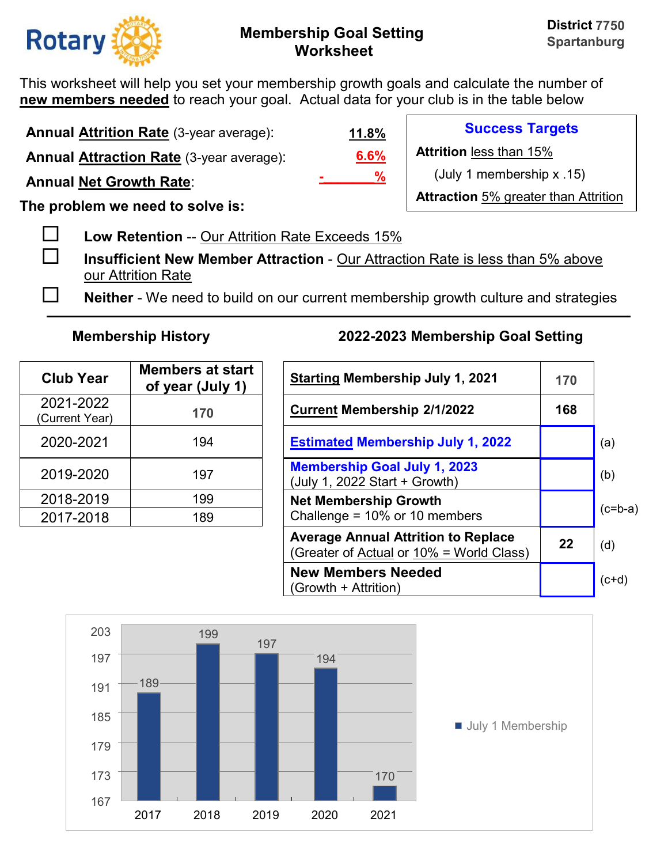

**Success Targets** 

(July 1 membership x .15)

**Attraction** 5% greater than Attrition

**Attrition** less than 15%

This worksheet will help you set your membership growth goals and calculate the number of **new members needed** to reach your goal. Actual data for your club is in the table below

**Annual Attrition Rate** (3-year average): **Annual Attraction Rate** (3-year average):

**Annual Net Growth Rate**:

**The problem we need to solve is:** 

**Low Retention** -- Our Attrition Rate Exceeds 15%

 **Insufficient New Member Attraction** - Our Attraction Rate is less than 5% above our Attrition Rate

**Neither** - We need to build on our current membership growth culture and strategies

**6.6%**

**-\_\_\_\_\_\_\_%**

**11.8%**

| <b>Club Year</b>            | <b>Members at start</b><br>of year (July 1) | <b>Starting Membership July 1, 20</b>                                |
|-----------------------------|---------------------------------------------|----------------------------------------------------------------------|
| 2021-2022<br>(Current Year) | 170                                         | <b>Current Membership 2/1/2022</b>                                   |
| 2020-2021                   | 194                                         | <b>Estimated Membership July 1,</b>                                  |
| 2019-2020                   | 197                                         | <b>Membership Goal July 1, 2023</b><br>(July 1, 2022 Start + Growth) |
| 2018-2019                   | 199                                         | <b>Net Membership Growth</b>                                         |
| 2017-2018                   | 189                                         | Challenge = 10% or 10 members                                        |

| <b>Club Year</b>           | <b>Members at start</b><br>of year (July 1) | <b>Starting Membership July 1, 2021</b>                                                |     |           |
|----------------------------|---------------------------------------------|----------------------------------------------------------------------------------------|-----|-----------|
| 2021-2022<br>Current Year) | 170                                         | <b>Current Membership 2/1/2022</b>                                                     | 168 |           |
| 2020-2021                  | 194                                         | <b>Estimated Membership July 1, 2022</b>                                               |     | (a)       |
| 2019-2020                  | 197                                         | <b>Membership Goal July 1, 2023</b><br>(July 1, 2022 Start + Growth)                   |     | (b)       |
| 2018-2019                  | 199                                         | <b>Net Membership Growth</b>                                                           |     |           |
| 2017-2018                  | 189                                         | Challenge = $10\%$ or 10 members                                                       |     | $(c=b-a)$ |
|                            |                                             | <b>Average Annual Attrition to Replace</b><br>(Greater of Actual or 10% = World Class) | 22  | (d)       |
|                            |                                             | <b>New Members Needed</b><br>(Growth + Attrition)                                      |     | $(c+d)$   |

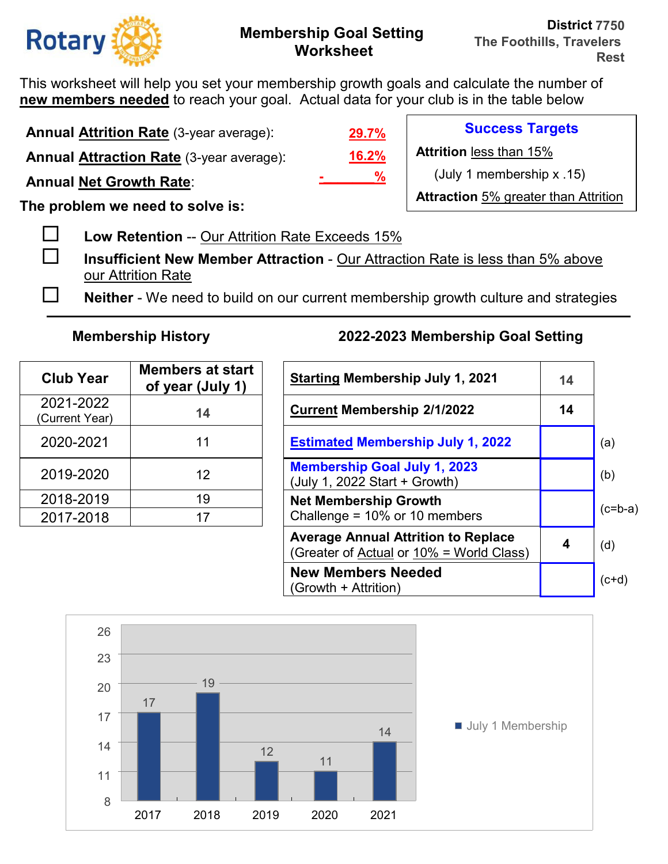

This worksheet will help you set your membership growth goals and calculate the number of **new members needed** to reach your goal. Actual data for your club is in the table below

**Annual Attrition Rate** (3-year average):

**Annual Attraction Rate** (3-year average):

**Annual Net Growth Rate**:

**The problem we need to solve is:** 

**Low Retention** -- Our Attrition Rate Exceeds 15%

 **Insufficient New Member Attraction** - Our Attraction Rate is less than 5% above our Attrition Rate

**Neither** - We need to build on our current membership growth culture and strategies

| <b>Club Year</b>            | <b>Members at start</b><br>of year (July 1) | <b>Starting Membership July 1, 2</b>                                 |
|-----------------------------|---------------------------------------------|----------------------------------------------------------------------|
| 2021-2022<br>(Current Year) | 14                                          | <b>Current Membership 2/1/2022</b>                                   |
| 2020-2021                   | 11                                          | <b>Estimated Membership July 1,</b>                                  |
| 2019-2020                   | 12                                          | <b>Membership Goal July 1, 2023</b><br>(July 1, 2022 Start + Growth) |
| 2018-2019                   | 19                                          | <b>Net Membership Growth</b>                                         |
| 2017-2018                   | 17                                          | Challenge = 10% or 10 members                                        |

# **Membership History 2022-2023 Membership Goal Setting**

| <b>Club Year</b>           | <b>Members at start</b><br>of year (July 1) | <b>Starting Membership July 1, 2021</b>                                                | 14 |           |
|----------------------------|---------------------------------------------|----------------------------------------------------------------------------------------|----|-----------|
| 2021-2022<br>Current Year) | 14                                          | <b>Current Membership 2/1/2022</b>                                                     | 14 |           |
| 2020-2021                  | 11                                          | <b>Estimated Membership July 1, 2022</b>                                               |    | (a)       |
| 2019-2020                  | 12                                          | <b>Membership Goal July 1, 2023</b><br>(July 1, 2022 Start + Growth)                   |    | (b)       |
| 2018-2019                  | 19                                          | <b>Net Membership Growth</b>                                                           |    | $(c=b-a)$ |
| 2017-2018                  | 17                                          | Challenge = $10\%$ or 10 members                                                       |    |           |
|                            |                                             | <b>Average Annual Attrition to Replace</b><br>(Greater of Actual or 10% = World Class) | 4  | (d)       |
|                            |                                             | <b>New Members Needed</b><br>(Growth + Attrition)                                      |    | $(c+d)$   |



**16.2% 29.7% -\_\_\_\_\_\_\_%**

**Success Targets** 

**Attrition** less than 15%

(July 1 membership x .15)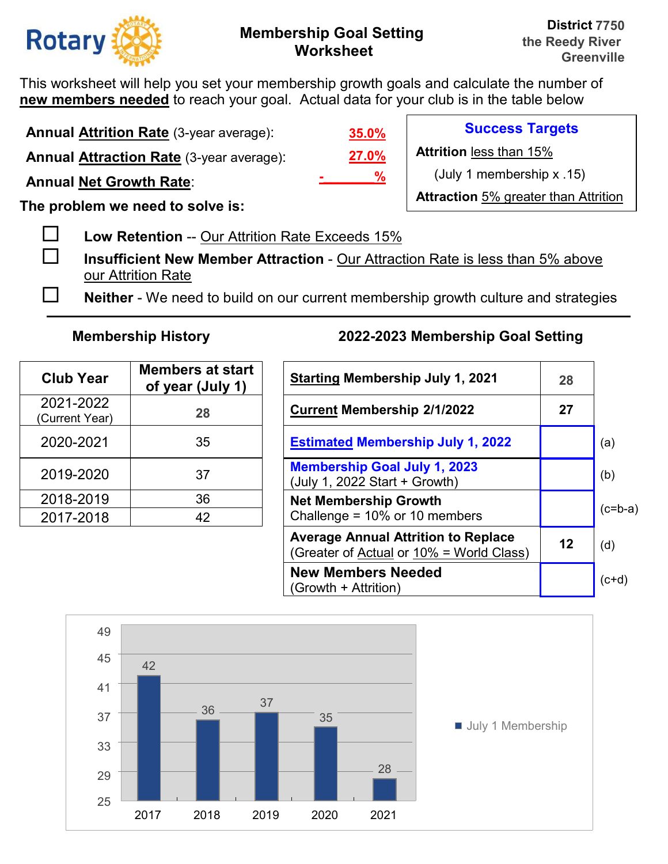

This worksheet will help you set your membership growth goals and calculate the number of **new members needed** to reach your goal. Actual data for your club is in the table below

**Annual Attrition Rate** (3-year average):

**Annual Attraction Rate** (3-year average):

**Annual Net Growth Rate**:

**The problem we need to solve is:** 

**Low Retention** -- Our Attrition Rate Exceeds 15%

 **Insufficient New Member Attraction** - Our Attraction Rate is less than 5% above our Attrition Rate

**Neither** - We need to build on our current membership growth culture and strategies

| <b>Club Year</b>            | <b>Members at start</b><br>of year (July 1) | <b>Starting Membership July 1, 20</b>                                |
|-----------------------------|---------------------------------------------|----------------------------------------------------------------------|
| 2021-2022<br>(Current Year) | 28                                          | <b>Current Membership 2/1/2022</b>                                   |
| 2020-2021                   | 35                                          | <b>Estimated Membership July 1,</b>                                  |
| 2019-2020                   | 37                                          | <b>Membership Goal July 1, 2023</b><br>(July 1, 2022 Start + Growth) |
| 2018-2019                   | 36                                          | <b>Net Membership Growth</b>                                         |
| 2017-2018                   | 42                                          | Challenge = 10% or 10 members                                        |

# **Membership History 2022-2023 Membership Goal Setting**

| <b>Club Year</b>           | <b>Members at start</b><br>of year (July 1) | <b>Starting Membership July 1, 2021</b>                                                |    |           |
|----------------------------|---------------------------------------------|----------------------------------------------------------------------------------------|----|-----------|
| 2021-2022<br>Current Year) | 28                                          | <b>Current Membership 2/1/2022</b>                                                     | 27 |           |
| 2020-2021                  | 35                                          | <b>Estimated Membership July 1, 2022</b>                                               |    | (a)       |
| 2019-2020                  | 37                                          | <b>Membership Goal July 1, 2023</b><br>(July 1, 2022 Start + Growth)                   |    | (b)       |
| 2018-2019                  | 36                                          | <b>Net Membership Growth</b>                                                           |    | $(c=b-a)$ |
| 2017-2018                  | 42                                          | Challenge = $10\%$ or 10 members                                                       |    |           |
|                            |                                             | <b>Average Annual Attrition to Replace</b><br>(Greater of Actual or 10% = World Class) | 12 | (d)       |
|                            |                                             | <b>New Members Needed</b><br>(Growth + Attrition)                                      |    | $(ct+d)$  |



**27.0% 35.0% -\_\_\_\_\_\_\_%**

**Success Targets** 

**Attrition** less than 15%

(July 1 membership x .15)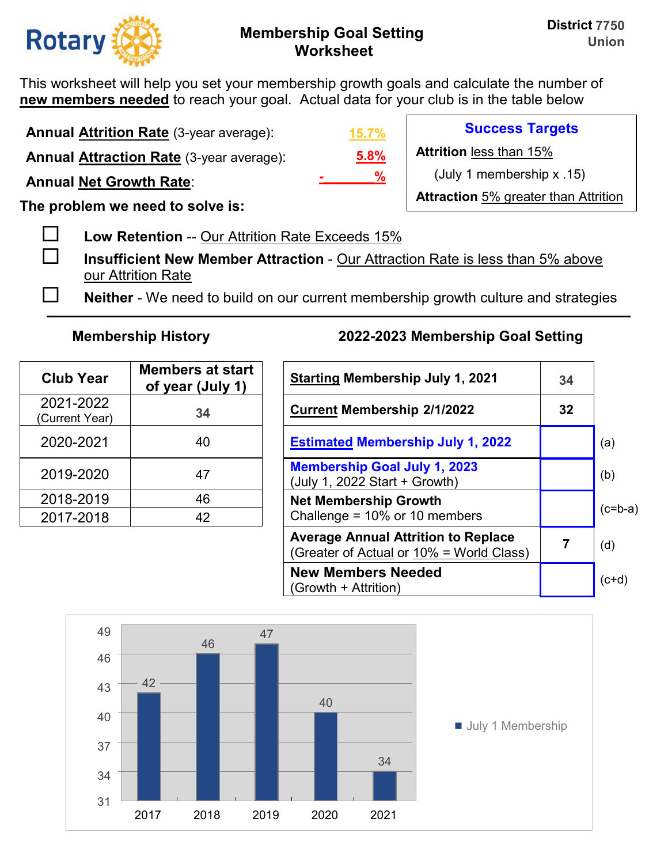

**Success Targets** 

(July 1 membership x .15)

**Attraction** 5% greater than Attrition

**Attrition** less than 15%

This worksheet will help you set your membership growth goals and calculate the number of **new members needed** to reach your goal. Actual data for your club is in the table below

**Annual Attrition Rate** (3-year average):

**Annual Attraction Rate** (3-year average):

**Annual Net Growth Rate**:

**The problem we need to solve is:** 

**Low Retention** -- Our Attrition Rate Exceeds 15%

 **Insufficient New Member Attraction** - Our Attraction Rate is less than 5% above our Attrition Rate

**Neither** - We need to build on our current membership growth culture and strategies

**5.8%**

**-\_\_\_\_\_\_\_%**

**15.7%**

| <b>Club Year</b>            | <b>Members at start</b><br>of year (July 1) | <b>Starting Membership July 1, 20</b>                                |
|-----------------------------|---------------------------------------------|----------------------------------------------------------------------|
| 2021-2022<br>(Current Year) | 34                                          | <b>Current Membership 2/1/2022</b>                                   |
| 2020-2021                   | 40                                          | <b>Estimated Membership July 1,</b>                                  |
| 2019-2020                   | 47                                          | <b>Membership Goal July 1, 2023</b><br>(July 1, 2022 Start + Growth) |
| 2018-2019                   | 46                                          | <b>Net Membership Growth</b>                                         |
| 2017-2018                   | 42                                          | Challenge = 10% or 10 members                                        |

| <b>Club Year</b>           | <b>Members at start</b><br>of year (July 1) | <b>Starting Membership July 1, 2021</b>                                                | 34              |           |
|----------------------------|---------------------------------------------|----------------------------------------------------------------------------------------|-----------------|-----------|
| 2021-2022<br>Current Year) | 34                                          | <b>Current Membership 2/1/2022</b>                                                     | 32 <sub>2</sub> |           |
| 2020-2021                  | 40                                          | <b>Estimated Membership July 1, 2022</b>                                               |                 | (a)       |
| 2019-2020                  | 47                                          | <b>Membership Goal July 1, 2023</b><br>(July 1, 2022 Start + Growth)                   |                 | (b)       |
| 2018-2019                  | 46                                          | <b>Net Membership Growth</b>                                                           |                 |           |
| 2017-2018                  | 42                                          | Challenge = $10\%$ or 10 members                                                       |                 | $(c=b-a)$ |
|                            |                                             | <b>Average Annual Attrition to Replace</b><br>(Greater of Actual or 10% = World Class) |                 | (d)       |
|                            |                                             | <b>New Members Needed</b><br>(Growth + Attrition)                                      |                 | $(ct+d)$  |

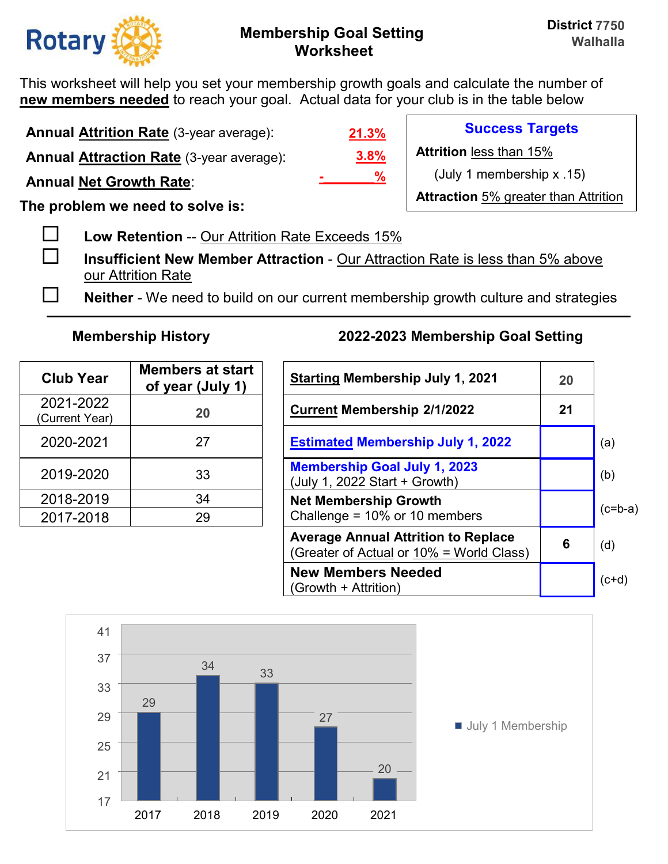

This worksheet will help you set your membership growth goals and calculate the number of **new members needed** to reach your goal. Actual data for your club is in the table below

**Annual Attrition Rate** (3-year average):

**Annual Attraction Rate** (3-year average):

**Annual Net Growth Rate**:

**The problem we need to solve is:** 

**Low Retention** -- Our Attrition Rate Exceeds 15%

 **Insufficient New Member Attraction** - Our Attraction Rate is less than 5% above our Attrition Rate

**Neither** - We need to build on our current membership growth culture and strategies

| <b>Club Year</b>            | <b>Members at start</b><br>of year (July 1) | <b>Starting Membership July 1, 2</b>                                 |
|-----------------------------|---------------------------------------------|----------------------------------------------------------------------|
| 2021-2022<br>(Current Year) | 20                                          | <b>Current Membership 2/1/2022</b>                                   |
| 2020-2021                   | 27                                          | <b>Estimated Membership July 1,</b>                                  |
| 2019-2020                   | 33                                          | <b>Membership Goal July 1, 2023</b><br>(July 1, 2022 Start + Growth) |
| 2018-2019                   | 34                                          | <b>Net Membership Growth</b>                                         |
| 2017-2018                   | 29                                          | Challenge = 10% or 10 members                                        |

# **Membership History 2022-2023 Membership Goal Setting**

| <b>Club Year</b>           | <b>Members at start</b><br>of year (July 1) | <b>Starting Membership July 1, 2021</b>                                                |    |           |
|----------------------------|---------------------------------------------|----------------------------------------------------------------------------------------|----|-----------|
| 2021-2022<br>Current Year) | 20                                          | <b>Current Membership 2/1/2022</b>                                                     | 21 |           |
| 2020-2021                  | 27                                          | <b>Estimated Membership July 1, 2022</b>                                               |    | (a)       |
| 2019-2020                  | 33                                          | <b>Membership Goal July 1, 2023</b><br>(July 1, 2022 Start + Growth)                   |    | (b)       |
| 2018-2019                  | 34                                          | <b>Net Membership Growth</b>                                                           |    | $(c=b-a)$ |
| 2017-2018                  | 29                                          | Challenge = $10\%$ or 10 members                                                       |    |           |
|                            |                                             | <b>Average Annual Attrition to Replace</b><br>(Greater of Actual or 10% = World Class) | 6  | (d)       |
|                            |                                             | <b>New Members Needed</b><br>(Growth + Attrition)                                      |    | $(ct+d)$  |



**3.8% 21.3% -\_\_\_\_\_\_\_%** **Success Targets** 

**Attrition** less than 15%

(July 1 membership x .15)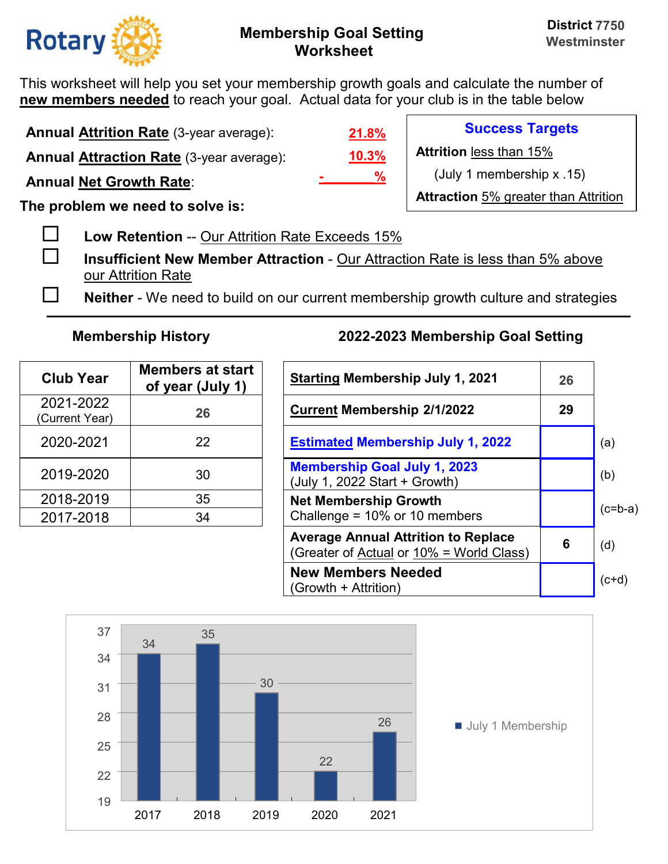

This worksheet will help you set your membership growth goals and calculate the number of **new members needed** to reach your goal. Actual data for your club is in the table below

**Annual Attrition Rate** (3-year average):

**Annual Attraction Rate** (3-year average):

**Annual Net Growth Rate**:

**The problem we need to solve is:** 

**Low Retention** -- Our Attrition Rate Exceeds 15%

 **Insufficient New Member Attraction** - Our Attraction Rate is less than 5% above our Attrition Rate

**Neither** - We need to build on our current membership growth culture and strategies

| <b>Club Year</b>            | <b>Members at start</b><br>of year (July 1) | <b>Starting Membership July 1, 2</b>                                 |
|-----------------------------|---------------------------------------------|----------------------------------------------------------------------|
| 2021-2022<br>(Current Year) | 26                                          | <b>Current Membership 2/1/2022</b>                                   |
| 2020-2021                   | 22                                          | <b>Estimated Membership July 1,</b>                                  |
| 2019-2020                   | 30                                          | <b>Membership Goal July 1, 2023</b><br>(July 1, 2022 Start + Growth) |
| 2018-2019                   | 35                                          | <b>Net Membership Growth</b>                                         |
| 2017-2018                   | 34                                          | Challenge = 10% or 10 members                                        |

# **Membership History 2022-2023 Membership Goal Setting**

| <b>Club Year</b>           | <b>Members at start</b><br>of year (July 1) | <b>Starting Membership July 1, 2021</b>                                                | 26 |           |
|----------------------------|---------------------------------------------|----------------------------------------------------------------------------------------|----|-----------|
| 2021-2022<br>Current Year) | 26                                          | <b>Current Membership 2/1/2022</b>                                                     | 29 |           |
| 2020-2021                  | 22                                          | <b>Estimated Membership July 1, 2022</b>                                               |    | (a)       |
| 2019-2020                  | 30                                          | <b>Membership Goal July 1, 2023</b><br>(July 1, 2022 Start + Growth)                   |    | (b)       |
| 2018-2019                  | 35                                          | <b>Net Membership Growth</b>                                                           |    | $(c=b-a)$ |
| 2017-2018                  | 34                                          | Challenge = $10\%$ or 10 members                                                       |    |           |
|                            |                                             | <b>Average Annual Attrition to Replace</b><br>(Greater of Actual or 10% = World Class) | 6  | (d)       |
|                            |                                             | <b>New Members Needed</b><br>(Growth + Attrition)                                      |    | $(c+d)$   |



**10.3% 21.8% -\_\_\_\_\_\_\_%**

**Success Targets** 

**Attrition** less than 15%

(July 1 membership x .15)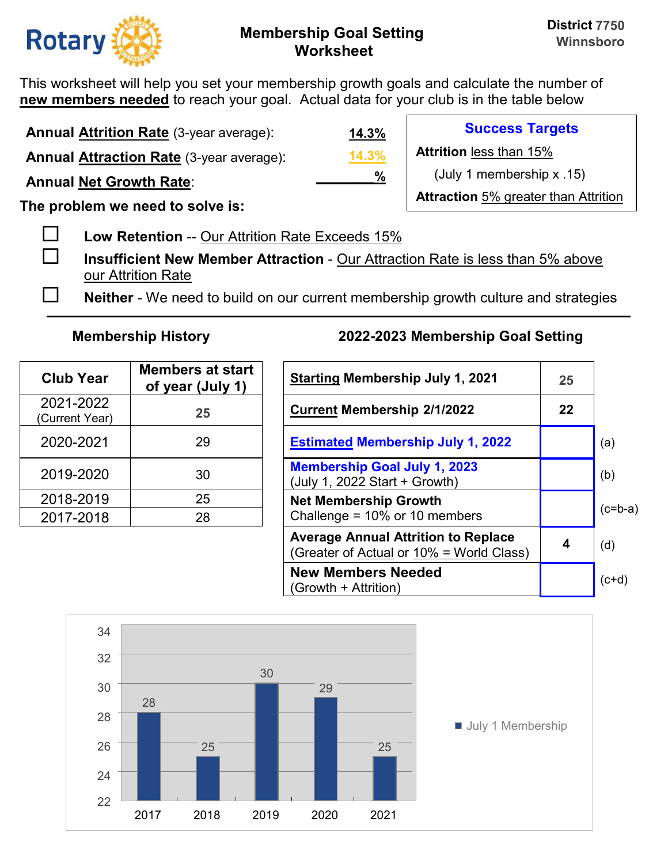

This worksheet will help you set your membership growth goals and calculate the number of **new members needed** to reach your goal. Actual data for your club is in the table below

| <b>Annual Attrition Rate (3-year average):</b>  | <u>14.3%</u> | <b>Success Targets</b>                      |
|-------------------------------------------------|--------------|---------------------------------------------|
| <b>Annual Attraction Rate (3-year average):</b> | 14.3%        | <b>Attrition less than 15%</b>              |
| <b>Annual Net Growth Rate:</b>                  | %            | (July 1 membership x .15)                   |
| The problem we need to solve is:                |              | <b>Attraction</b> 5% greater than Attrition |

- **Low Retention** -- Our Attrition Rate Exceeds 15%
- **Insufficient New Member Attraction** Our Attraction Rate is less than 5% above our Attrition Rate
- **Neither** We need to build on our current membership growth culture and strategies

| <b>Club Year</b>            | <b>Members at start</b><br>of year (July 1) | <b>Starting Membership July 1, 2</b>                                 |
|-----------------------------|---------------------------------------------|----------------------------------------------------------------------|
| 2021-2022<br>(Current Year) | 25                                          | <b>Current Membership 2/1/2022</b>                                   |
| 2020-2021                   | 29                                          | <b>Estimated Membership July 1,</b>                                  |
| 2019-2020                   | 30                                          | <b>Membership Goal July 1, 2023</b><br>(July 1, 2022 Start + Growth) |
| 2018-2019                   | 25                                          | <b>Net Membership Growth</b>                                         |
| 2017-2018                   | 28                                          | Challenge = 10% or 10 members                                        |

| <b>Club Year</b>           | <b>Members at start</b><br>of year (July 1) | <b>Starting Membership July 1, 2021</b>                                                | 25 |           |
|----------------------------|---------------------------------------------|----------------------------------------------------------------------------------------|----|-----------|
| 2021-2022<br>Current Year) | 25                                          | <b>Current Membership 2/1/2022</b>                                                     | 22 |           |
| 2020-2021                  | 29                                          | <b>Estimated Membership July 1, 2022</b>                                               |    | (a)       |
| 2019-2020                  | 30                                          | <b>Membership Goal July 1, 2023</b><br>(July 1, 2022 Start + Growth)                   |    | (b)       |
| 2018-2019                  | 25                                          | <b>Net Membership Growth</b>                                                           |    | $(c=b-a)$ |
| 2017-2018                  | 28                                          | Challenge = $10\%$ or 10 members                                                       |    |           |
|                            |                                             | <b>Average Annual Attrition to Replace</b><br>(Greater of Actual or 10% = World Class) | 4  | (d)       |
|                            |                                             | <b>New Members Needed</b><br>(Growth + Attrition)                                      |    | $(c+d)$   |